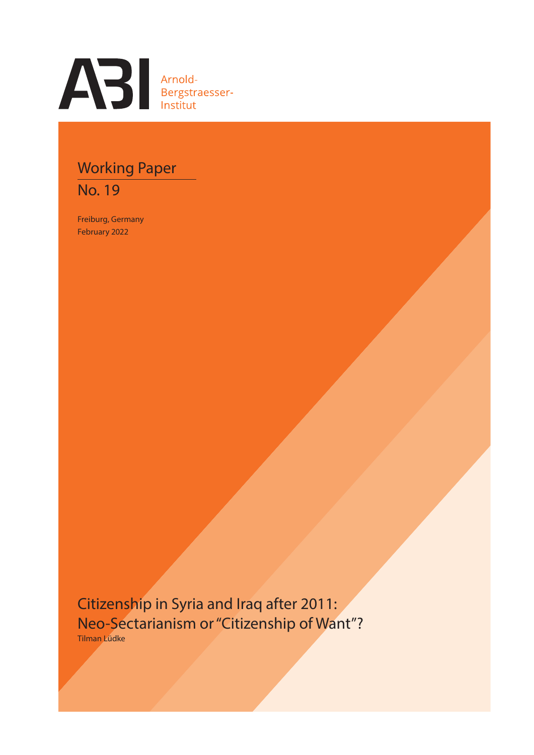

# Working Paper

No. 19

Freiburg, Germany February 2022

Citizenship in Syria and Iraq after 2011: Neo-Sectarianism or "Citizenship of Want"? Tilman Lüdke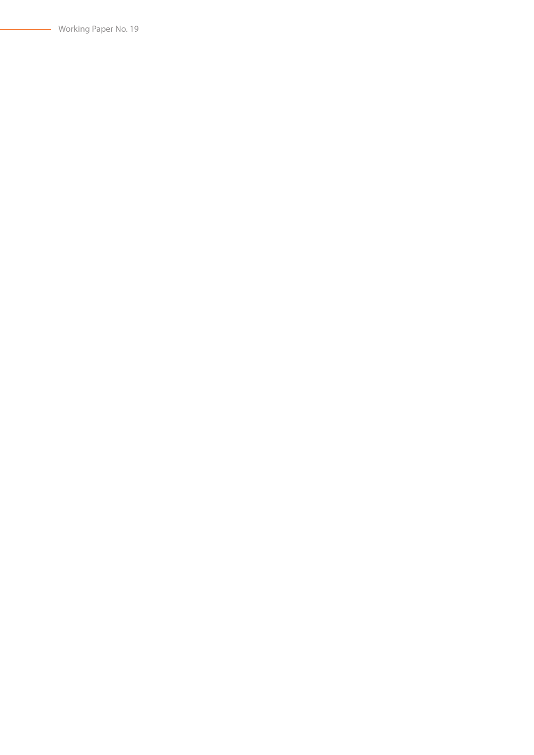Working Paper No. 19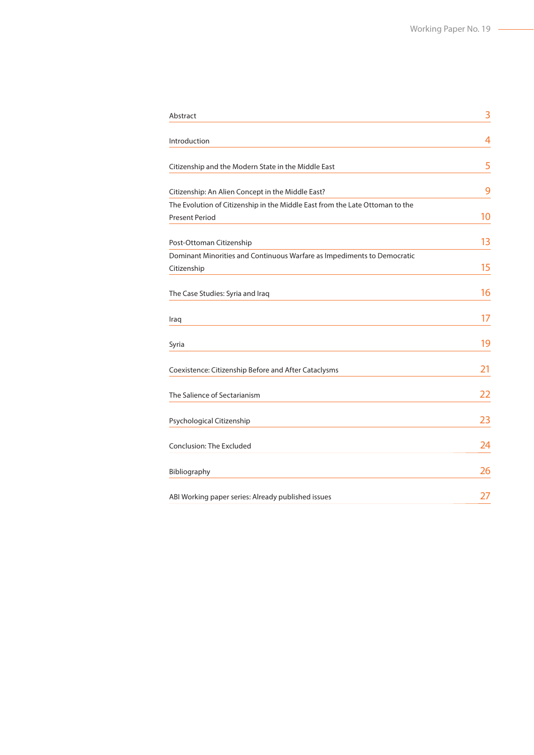| Abstract                                                                     | 3  |
|------------------------------------------------------------------------------|----|
|                                                                              | 4  |
| Introduction                                                                 |    |
| Citizenship and the Modern State in the Middle East                          | 5  |
| Citizenship: An Alien Concept in the Middle East?                            | 9  |
| The Evolution of Citizenship in the Middle East from the Late Ottoman to the |    |
| <b>Present Period</b>                                                        | 10 |
| Post-Ottoman Citizenship                                                     | 13 |
| Dominant Minorities and Continuous Warfare as Impediments to Democratic      |    |
| Citizenship                                                                  | 15 |
| The Case Studies: Syria and Iraq                                             | 16 |
| Iraq                                                                         | 17 |
| Syria                                                                        | 19 |
| Coexistence: Citizenship Before and After Cataclysms                         | 21 |
| The Salience of Sectarianism                                                 | 22 |
| Psychological Citizenship                                                    | 23 |
| Conclusion: The Excluded                                                     | 24 |
| Bibliography                                                                 | 26 |
| ABI Working paper series: Already published issues                           | 27 |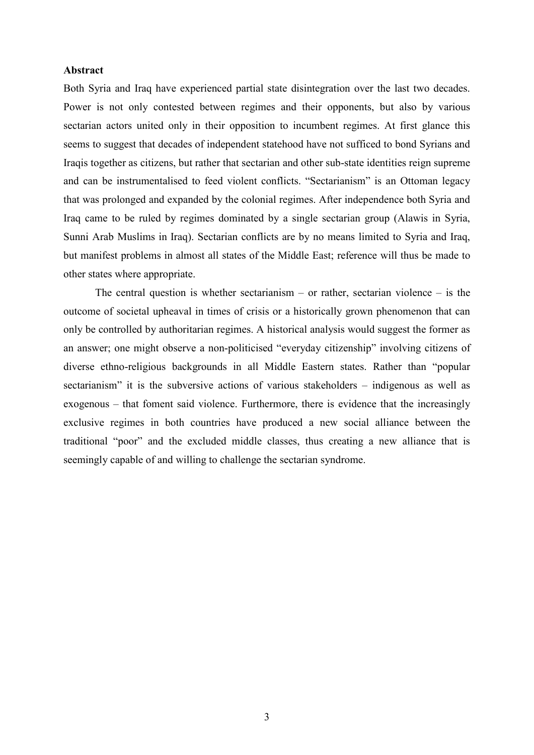# **Abstract**

Both Syria and Iraq have experienced partial state disintegration over the last two decades. Power is not only contested between regimes and their opponents, but also by various sectarian actors united only in their opposition to incumbent regimes. At first glance this seems to suggest that decades of independent statehood have not sufficed to bond Syrians and Iraqis together as citizens, but rather that sectarian and other sub-state identities reign supreme and can be instrumentalised to feed violent conflicts. "Sectarianism" is an Ottoman legacy that was prolonged and expanded by the colonial regimes. After independence both Syria and Iraq came to be ruled by regimes dominated by a single sectarian group (Alawis in Syria, Sunni Arab Muslims in Iraq). Sectarian conflicts are by no means limited to Syria and Iraq, but manifest problems in almost all states of the Middle East; reference will thus be made to other states where appropriate.

The central question is whether sectarianism – or rather, sectarian violence – is the outcome of societal upheaval in times of crisis or a historically grown phenomenon that can only be controlled by authoritarian regimes. A historical analysis would suggest the former as an answer; one might observe a non-politicised "everyday citizenship" involving citizens of diverse ethno-religious backgrounds in all Middle Eastern states. Rather than "popular sectarianism" it is the subversive actions of various stakeholders – indigenous as well as exogenous – that foment said violence. Furthermore, there is evidence that the increasingly exclusive regimes in both countries have produced a new social alliance between the traditional "poor" and the excluded middle classes, thus creating a new alliance that is seemingly capable of and willing to challenge the sectarian syndrome.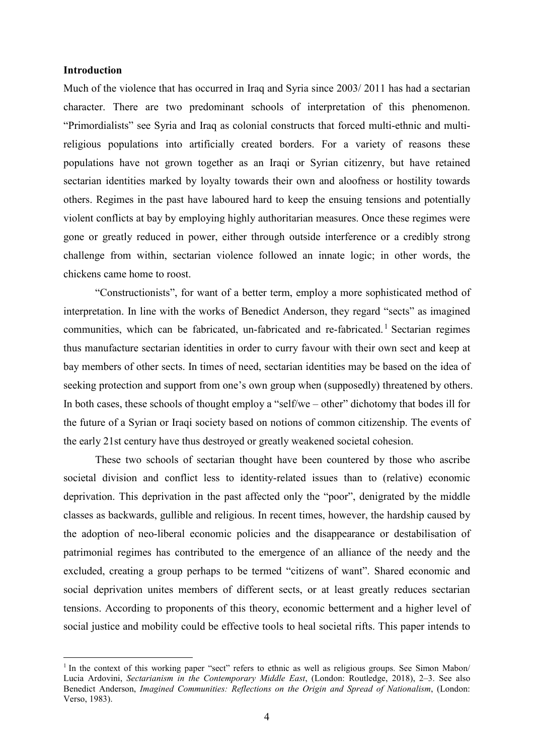## **Introduction**

Much of the violence that has occurred in Iraq and Syria since 2003/ 2011 has had a sectarian character. There are two predominant schools of interpretation of this phenomenon. "Primordialists" see Syria and Iraq as colonial constructs that forced multi-ethnic and multireligious populations into artificially created borders. For a variety of reasons these populations have not grown together as an Iraqi or Syrian citizenry, but have retained sectarian identities marked by loyalty towards their own and aloofness or hostility towards others. Regimes in the past have laboured hard to keep the ensuing tensions and potentially violent conflicts at bay by employing highly authoritarian measures. Once these regimes were gone or greatly reduced in power, either through outside interference or a credibly strong challenge from within, sectarian violence followed an innate logic; in other words, the chickens came home to roost.

"Constructionists", for want of a better term, employ a more sophisticated method of interpretation. In line with the works of Benedict Anderson, they regard "sects" as imagined communities, which can be fabricated, un-fabricated and re-fabricated.<sup>[1](#page-5-0)</sup> Sectarian regimes thus manufacture sectarian identities in order to curry favour with their own sect and keep at bay members of other sects. In times of need, sectarian identities may be based on the idea of seeking protection and support from one's own group when (supposedly) threatened by others. In both cases, these schools of thought employ a "self/we – other" dichotomy that bodes ill for the future of a Syrian or Iraqi society based on notions of common citizenship. The events of the early 21st century have thus destroyed or greatly weakened societal cohesion.

These two schools of sectarian thought have been countered by those who ascribe societal division and conflict less to identity-related issues than to (relative) economic deprivation. This deprivation in the past affected only the "poor", denigrated by the middle classes as backwards, gullible and religious. In recent times, however, the hardship caused by the adoption of neo-liberal economic policies and the disappearance or destabilisation of patrimonial regimes has contributed to the emergence of an alliance of the needy and the excluded, creating a group perhaps to be termed "citizens of want". Shared economic and social deprivation unites members of different sects, or at least greatly reduces sectarian tensions. According to proponents of this theory, economic betterment and a higher level of social justice and mobility could be effective tools to heal societal rifts. This paper intends to

<span id="page-5-0"></span><sup>&</sup>lt;sup>1</sup> In the context of this working paper "sect" refers to ethnic as well as religious groups. See Simon Mabon/ Lucia Ardovini, *Sectarianism in the Contemporary Middle East*, (London: Routledge, 2018), 2–3. See also Benedict Anderson, *Imagined Communities: Reflections on the Origin and Spread of Nationalism*, (London: Verso, 1983).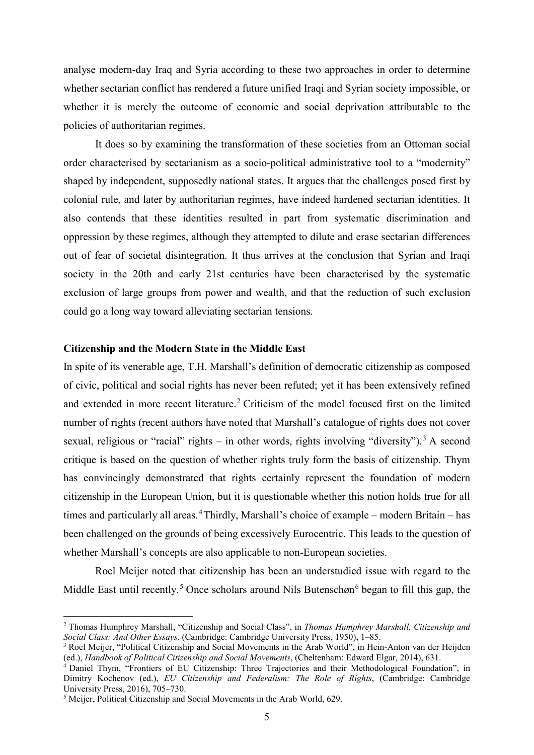analyse modern-day Iraq and Syria according to these two approaches in order to determine whether sectarian conflict has rendered a future unified Iraqi and Syrian society impossible, or whether it is merely the outcome of economic and social deprivation attributable to the policies of authoritarian regimes.

It does so by examining the transformation of these societies from an Ottoman social order characterised by sectarianism as a socio-political administrative tool to a "modernity" shaped by independent, supposedly national states. It argues that the challenges posed first by colonial rule, and later by authoritarian regimes, have indeed hardened sectarian identities. It also contends that these identities resulted in part from systematic discrimination and oppression by these regimes, although they attempted to dilute and erase sectarian differences out of fear of societal disintegration. It thus arrives at the conclusion that Syrian and Iraqi society in the 20th and early 21st centuries have been characterised by the systematic exclusion of large groups from power and wealth, and that the reduction of such exclusion could go a long way toward alleviating sectarian tensions.

# **Citizenship and the Modern State in the Middle East**

In spite of its venerable age, T.H. Marshall's definition of democratic citizenship as composed of civic, political and social rights has never been refuted; yet it has been extensively refined and extended in more recent literature.<sup>[2](#page-6-0)</sup> Criticism of the model focused first on the limited number of rights (recent authors have noted that Marshall's catalogue of rights does not cover sexual, religious or "racial" rights – in other words, rights involving "diversity").<sup>[3](#page-6-1)</sup> A second critique is based on the question of whether rights truly form the basis of citizenship. Thym has convincingly demonstrated that rights certainly represent the foundation of modern citizenship in the European Union, but it is questionable whether this notion holds true for all times and particularly all areas.<sup>[4](#page-6-2)</sup>Thirdly, Marshall's choice of example – modern Britain – has been challenged on the grounds of being excessively Eurocentric. This leads to the question of whether Marshall's concepts are also applicable to non-European societies.

Roel Meijer noted that citizenship has been an understudied issue with regard to the Middle East until recently.<sup>[5](#page-6-3)</sup> Once scholars around Nils Butenschøn<sup>[6](#page-6-4)</sup> began to fill this gap, the

<span id="page-6-0"></span> <sup>2</sup> Thomas Humphrey Marshall, "Citizenship and Social Class", in *Thomas Humphrey Marshall, Citizenship and Social Class: And Other Essays,* (Cambridge: Cambridge University Press, 1950), 1–85.

<span id="page-6-4"></span><span id="page-6-1"></span><sup>3</sup> Roel Meijer, "Political Citizenship and Social Movements in the Arab World", in Hein-Anton van der Heijden (ed.), *Handbook of Political Citizenship and Social Movements*, (Cheltenham: Edward Elgar, 2014), 631.

<span id="page-6-2"></span><sup>&</sup>lt;sup>4</sup> Daniel Thym, "Frontiers of EU Citizenship: Three Trajectories and their Methodological Foundation", in Dimitry Kochenov (ed.), *EU Citizenship and Federalism: The Role of Rights*, (Cambridge: Cambridge University Press, 2016), 705–730.

<span id="page-6-3"></span><sup>5</sup> Meijer, Political Citizenship and Social Movements in the Arab World, 629.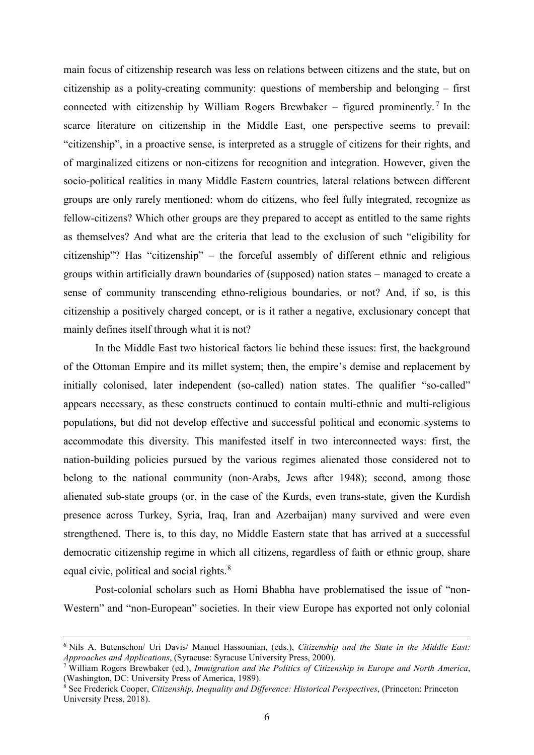main focus of citizenship research was less on relations between citizens and the state, but on citizenship as a polity-creating community: questions of membership and belonging – first connected with citizenship by William Rogers Brewbaker – figured prominently.<sup>[7](#page-7-0)</sup> In the scarce literature on citizenship in the Middle East, one perspective seems to prevail: "citizenship", in a proactive sense, is interpreted as a struggle of citizens for their rights, and of marginalized citizens or non-citizens for recognition and integration. However, given the socio-political realities in many Middle Eastern countries, lateral relations between different groups are only rarely mentioned: whom do citizens, who feel fully integrated, recognize as fellow-citizens? Which other groups are they prepared to accept as entitled to the same rights as themselves? And what are the criteria that lead to the exclusion of such "eligibility for citizenship"? Has "citizenship" – the forceful assembly of different ethnic and religious groups within artificially drawn boundaries of (supposed) nation states – managed to create a sense of community transcending ethno-religious boundaries, or not? And, if so, is this citizenship a positively charged concept, or is it rather a negative, exclusionary concept that mainly defines itself through what it is not?

In the Middle East two historical factors lie behind these issues: first, the background of the Ottoman Empire and its millet system; then, the empire's demise and replacement by initially colonised, later independent (so-called) nation states. The qualifier "so-called" appears necessary, as these constructs continued to contain multi-ethnic and multi-religious populations, but did not develop effective and successful political and economic systems to accommodate this diversity. This manifested itself in two interconnected ways: first, the nation-building policies pursued by the various regimes alienated those considered not to belong to the national community (non-Arabs, Jews after 1948); second, among those alienated sub-state groups (or, in the case of the Kurds, even trans-state, given the Kurdish presence across Turkey, Syria, Iraq, Iran and Azerbaijan) many survived and were even strengthened. There is, to this day, no Middle Eastern state that has arrived at a successful democratic citizenship regime in which all citizens, regardless of faith or ethnic group, share equal civic, political and social rights. $8$ 

Post-colonial scholars such as Homi Bhabha have problematised the issue of "non-Western" and "non-European" societies. In their view Europe has exported not only colonial

 <sup>6</sup> Nils A. Butenschon/ Uri Davis/ Manuel Hassounian, (eds.), *Citizenship and the State in the Middle East: Approaches and Applications*, (Syracuse: Syracuse University Press, 2000).

<span id="page-7-0"></span><sup>7</sup> William Rogers Brewbaker (ed.), *Immigration and the Politics of Citizenship in Europe and North America*, (Washington, DC: University Press of America, 1989).

<span id="page-7-1"></span><sup>8</sup> See Frederick Cooper, *Citizenship, Inequality and Difference: Historical Perspectives*, (Princeton: Princeton University Press, 2018).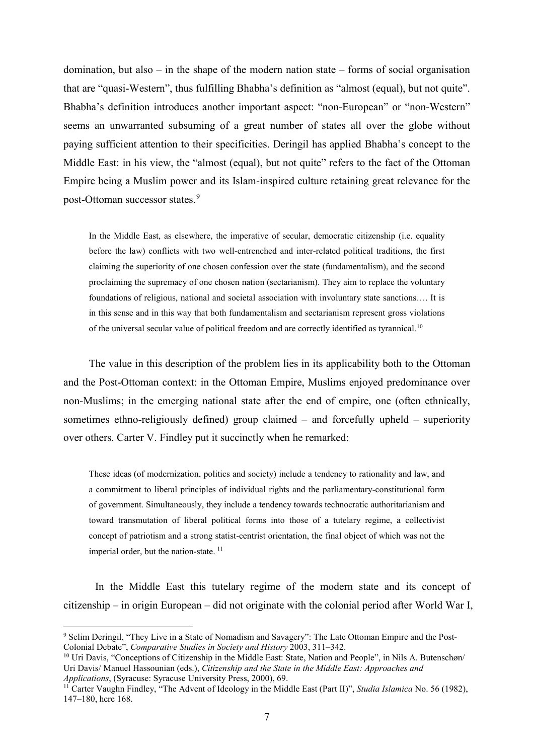domination, but also – in the shape of the modern nation state – forms of social organisation that are "quasi-Western", thus fulfilling Bhabha's definition as "almost (equal), but not quite". Bhabha's definition introduces another important aspect: "non-European" or "non-Western" seems an unwarranted subsuming of a great number of states all over the globe without paying sufficient attention to their specificities. Deringil has applied Bhabha's concept to the Middle East: in his view, the "almost (equal), but not quite" refers to the fact of the Ottoman Empire being a Muslim power and its Islam-inspired culture retaining great relevance for the post-Ottoman successor states.[9](#page-8-0)

In the Middle East, as elsewhere, the imperative of secular, democratic citizenship (i.e. equality before the law) conflicts with two well-entrenched and inter-related political traditions, the first claiming the superiority of one chosen confession over the state (fundamentalism), and the second proclaiming the supremacy of one chosen nation (sectarianism). They aim to replace the voluntary foundations of religious, national and societal association with involuntary state sanctions…. It is in this sense and in this way that both fundamentalism and sectarianism represent gross violations of the universal secular value of political freedom and are correctly identified as tyrannical.<sup>[10](#page-8-1)</sup>

The value in this description of the problem lies in its applicability both to the Ottoman and the Post-Ottoman context: in the Ottoman Empire, Muslims enjoyed predominance over non-Muslims; in the emerging national state after the end of empire, one (often ethnically, sometimes ethno-religiously defined) group claimed – and forcefully upheld – superiority over others. Carter V. Findley put it succinctly when he remarked:

These ideas (of modernization, politics and society) include a tendency to rationality and law, and a commitment to liberal principles of individual rights and the parliamentary-constitutional form of government. Simultaneously, they include a tendency towards technocratic authoritarianism and toward transmutation of liberal political forms into those of a tutelary regime, a collectivist concept of patriotism and a strong statist-centrist orientation, the final object of which was not the imperial order, but the nation-state.  $11$ 

In the Middle East this tutelary regime of the modern state and its concept of citizenship – in origin European – did not originate with the colonial period after World War I,

<span id="page-8-0"></span> <sup>9</sup> Selim Deringil, "They Live in a State of Nomadism and Savagery": The Late Ottoman Empire and the Post-Colonial Debate", *Comparative Studies in Society and History* 2003, 311–342.

<span id="page-8-1"></span><sup>&</sup>lt;sup>10</sup> Uri Davis, "Conceptions of Citizenship in the Middle East: State, Nation and People", in Nils A. Butenschøn/ Uri Davis/ Manuel Hassounian (eds.), *Citizenship and the State in the Middle East: Approaches and Applications*, (Syracuse: Syracuse University Press, 2000), 69.

<span id="page-8-2"></span><sup>&</sup>lt;sup>11</sup> Carter Vaughn Findley, "The Advent of Ideology in the Middle East (Part II)", *Studia Islamica* No. 56 (1982), 147–180, here 168.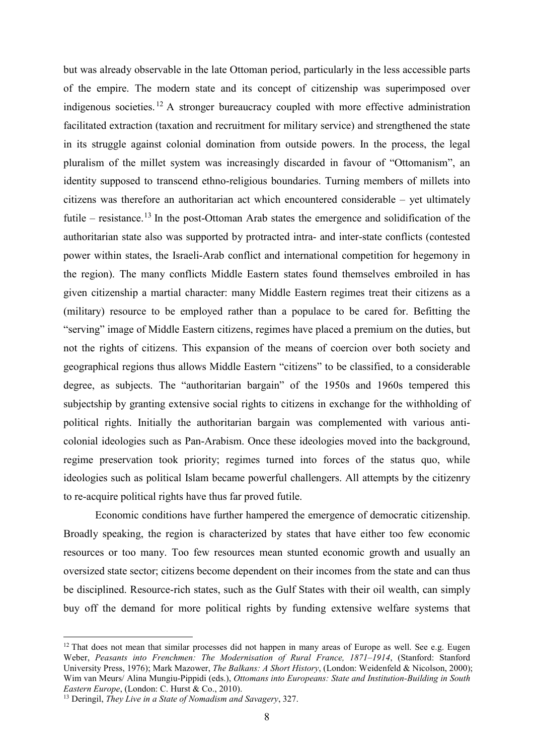but was already observable in the late Ottoman period, particularly in the less accessible parts of the empire. The modern state and its concept of citizenship was superimposed over indigenous societies.<sup>[12](#page-9-0)</sup> A stronger bureaucracy coupled with more effective administration facilitated extraction (taxation and recruitment for military service) and strengthened the state in its struggle against colonial domination from outside powers. In the process, the legal pluralism of the millet system was increasingly discarded in favour of "Ottomanism", an identity supposed to transcend ethno-religious boundaries. Turning members of millets into citizens was therefore an authoritarian act which encountered considerable – yet ultimately futile – resistance.<sup>[13](#page-9-1)</sup> In the post-Ottoman Arab states the emergence and solidification of the authoritarian state also was supported by protracted intra- and inter-state conflicts (contested power within states, the Israeli-Arab conflict and international competition for hegemony in the region). The many conflicts Middle Eastern states found themselves embroiled in has given citizenship a martial character: many Middle Eastern regimes treat their citizens as a (military) resource to be employed rather than a populace to be cared for. Befitting the "serving" image of Middle Eastern citizens, regimes have placed a premium on the duties, but not the rights of citizens. This expansion of the means of coercion over both society and geographical regions thus allows Middle Eastern "citizens" to be classified, to a considerable degree, as subjects. The "authoritarian bargain" of the 1950s and 1960s tempered this subjectship by granting extensive social rights to citizens in exchange for the withholding of political rights. Initially the authoritarian bargain was complemented with various anticolonial ideologies such as Pan-Arabism. Once these ideologies moved into the background, regime preservation took priority; regimes turned into forces of the status quo, while ideologies such as political Islam became powerful challengers. All attempts by the citizenry to re-acquire political rights have thus far proved futile.

Economic conditions have further hampered the emergence of democratic citizenship. Broadly speaking, the region is characterized by states that have either too few economic resources or too many. Too few resources mean stunted economic growth and usually an oversized state sector; citizens become dependent on their incomes from the state and can thus be disciplined. Resource-rich states, such as the Gulf States with their oil wealth, can simply buy off the demand for more political rights by funding extensive welfare systems that

<span id="page-9-0"></span> $12$  That does not mean that similar processes did not happen in many areas of Europe as well. See e.g. Eugen Weber, *Peasants into Frenchmen: The Modernisation of Rural France, 1871–1914*, (Stanford: Stanford University Press, 1976); Mark Mazower, *The Balkans: A Short History*, (London: Weidenfeld & Nicolson, 2000); Wim van Meurs/ Alina Mungiu-Pippidi (eds.), *Ottomans into Europeans: State and Institution-Building in South Eastern Europe*, (London: C. Hurst & Co., 2010).

<span id="page-9-1"></span><sup>13</sup> Deringil, *They Live in a State of Nomadism and Savagery*, 327.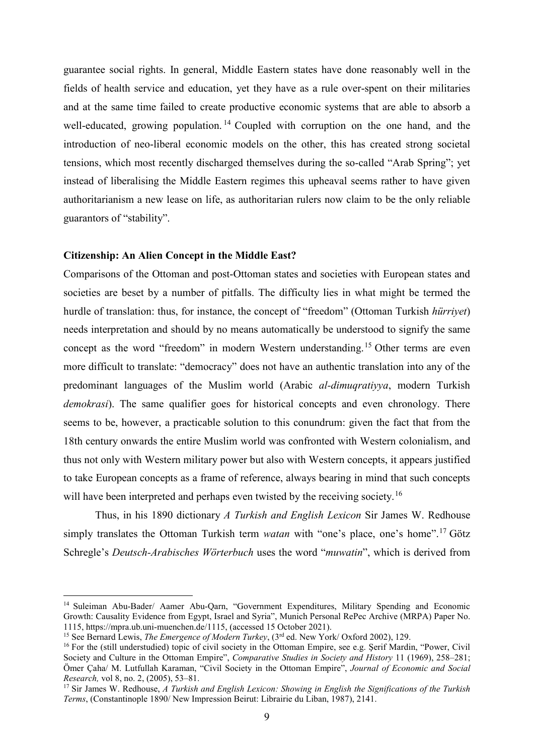guarantee social rights. In general, Middle Eastern states have done reasonably well in the fields of health service and education, yet they have as a rule over-spent on their militaries and at the same time failed to create productive economic systems that are able to absorb a well-educated, growing population.<sup>[14](#page-10-0)</sup> Coupled with corruption on the one hand, and the introduction of neo-liberal economic models on the other, this has created strong societal tensions, which most recently discharged themselves during the so-called "Arab Spring"; yet instead of liberalising the Middle Eastern regimes this upheaval seems rather to have given authoritarianism a new lease on life, as authoritarian rulers now claim to be the only reliable guarantors of "stability".

#### **Citizenship: An Alien Concept in the Middle East?**

Comparisons of the Ottoman and post-Ottoman states and societies with European states and societies are beset by a number of pitfalls. The difficulty lies in what might be termed the hurdle of translation: thus, for instance, the concept of "freedom" (Ottoman Turkish *hürriyet*) needs interpretation and should by no means automatically be understood to signify the same concept as the word "freedom" in modern Western understanding.[15](#page-10-1) Other terms are even more difficult to translate: "democracy" does not have an authentic translation into any of the predominant languages of the Muslim world (Arabic *al-dimuqratiyya*, modern Turkish *demokrasi*). The same qualifier goes for historical concepts and even chronology. There seems to be, however, a practicable solution to this conundrum: given the fact that from the 18th century onwards the entire Muslim world was confronted with Western colonialism, and thus not only with Western military power but also with Western concepts, it appears justified to take European concepts as a frame of reference, always bearing in mind that such concepts will have been interpreted and perhaps even twisted by the receiving society.<sup>[16](#page-10-2)</sup>

Thus, in his 1890 dictionary *A Turkish and English Lexicon* Sir James W. Redhouse simply translates the Ottoman Turkish term *watan* with "one's place, one's home". [17](#page-10-3) Götz Schregle's *Deutsch-Arabisches Wörterbuch* uses the word "*muwatin*", which is derived from

<span id="page-10-0"></span> <sup>14</sup> Suleiman Abu-Bader/ Aamer Abu-Qarn, "Government Expenditures, Military Spending and Economic Growth: Causality Evidence from Egypt, Israel and Syria", Munich Personal RePec Archive (MRPA) Paper No. 1115, [https://mpra.ub.uni-muenchen.de/1115,](https://mpra.ub.uni-muenchen.de/1115) (accessed 15 October 2021).

<span id="page-10-1"></span><sup>&</sup>lt;sup>15</sup> See Bernard Lewis, *The Emergence of Modern Turkey*, (3<sup>rd</sup> ed. New York/ Oxford 2002), 129.

<span id="page-10-2"></span><sup>&</sup>lt;sup>16</sup> For the (still understudied) topic of civil society in the Ottoman Empire, see e.g. Serif Mardin, "Power, Civil" Society and Culture in the Ottoman Empire", *Comparative Studies in Society and History* 11 (1969), 258–281; Ömer Çaha/ M. Lutfullah Karaman, "Civil Society in the Ottoman Empire", *Journal of Economic and Social Research,* vol 8, no. 2, (2005), 53–81.

<span id="page-10-3"></span><sup>17</sup> Sir James W. Redhouse, *A Turkish and English Lexicon: Showing in English the Significations of the Turkish Terms*, (Constantinople 1890/ New Impression Beirut: Librairie du Liban, 1987), 2141.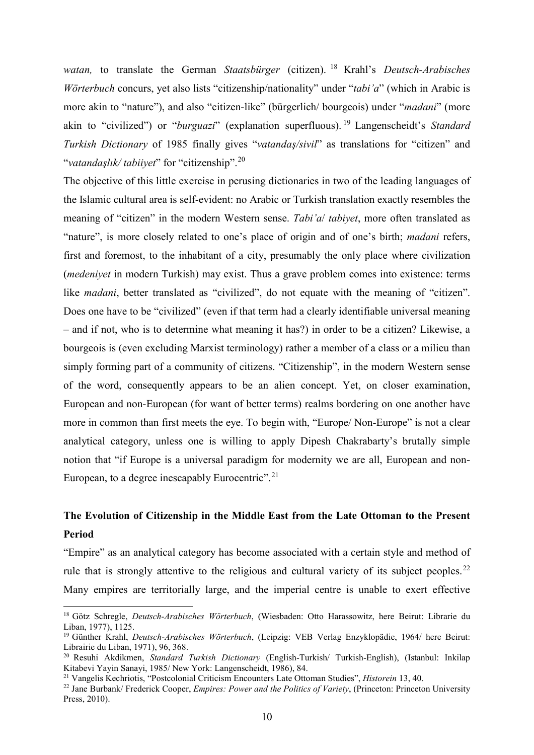*watan,* to translate the German *Staatsbürger* (citizen). [18](#page-11-0) Krahl's *Deutsch-Arabisches Wörterbuch* concurs, yet also lists "citizenship/nationality" under "*tabi'a*" (which in Arabic is more akin to "nature"), and also "citizen-like" (bürgerlich/ bourgeois) under "*madani*" (more akin to "civilized") or "*burguazi*" (explanation superfluous). <sup>[19](#page-11-1)</sup> Langenscheidt's *Standard Turkish Dictionary* of 1985 finally gives "*vatandaş/sivil*" as translations for "citizen" and "*vatandaşlık/ tabiiyet*" for "citizenship". [20](#page-11-2)

The objective of this little exercise in perusing dictionaries in two of the leading languages of the Islamic cultural area is self-evident: no Arabic or Turkish translation exactly resembles the meaning of "citizen" in the modern Western sense. *Tabi'a*/ *tabiyet*, more often translated as "nature", is more closely related to one's place of origin and of one's birth; *madani* refers, first and foremost, to the inhabitant of a city, presumably the only place where civilization (*medeniyet* in modern Turkish) may exist. Thus a grave problem comes into existence: terms like *madani*, better translated as "civilized", do not equate with the meaning of "citizen". Does one have to be "civilized" (even if that term had a clearly identifiable universal meaning – and if not, who is to determine what meaning it has?) in order to be a citizen? Likewise, a bourgeois is (even excluding Marxist terminology) rather a member of a class or a milieu than simply forming part of a community of citizens. "Citizenship", in the modern Western sense of the word, consequently appears to be an alien concept. Yet, on closer examination, European and non-European (for want of better terms) realms bordering on one another have more in common than first meets the eye. To begin with, "Europe/ Non-Europe" is not a clear analytical category, unless one is willing to apply Dipesh Chakrabarty's brutally simple notion that "if Europe is a universal paradigm for modernity we are all, European and non-European, to a degree inescapably Eurocentric".<sup>[21](#page-11-3)</sup>

# **The Evolution of Citizenship in the Middle East from the Late Ottoman to the Present Period**

"Empire" as an analytical category has become associated with a certain style and method of rule that is strongly attentive to the religious and cultural variety of its subject peoples.<sup>[22](#page-11-4)</sup> Many empires are territorially large, and the imperial centre is unable to exert effective

<span id="page-11-0"></span> <sup>18</sup> Götz Schregle, *Deutsch-Arabisches Wörterbuch*, (Wiesbaden: Otto Harassowitz, here Beirut: Librarie du Liban, 1977), 1125.

<span id="page-11-1"></span><sup>19</sup> Günther Krahl, *Deutsch-Arabisches Wörterbuch*, (Leipzig: VEB Verlag Enzyklopädie, 1964/ here Beirut: Librairie du Liban, 1971), 96, 368.

<span id="page-11-2"></span><sup>20</sup> Resuhi Akdikmen, *Standard Turkish Dictionary* (English-Turkish/ Turkish-English), (Istanbul: Inkilap Kitabevi Yayin Sanayi, 1985/ New York: Langenscheidt, 1986), 84.<br><sup>21</sup> Vangelis Kechriotis, "Postcolonial Criticism Encounters Late Ottoman Studies", *Historein* 13, 40.

<span id="page-11-3"></span>

<span id="page-11-4"></span><sup>&</sup>lt;sup>22</sup> Jane Burbank/ Frederick Cooper, *Empires: Power and the Politics of Variety*, (Princeton: Princeton University Press, 2010).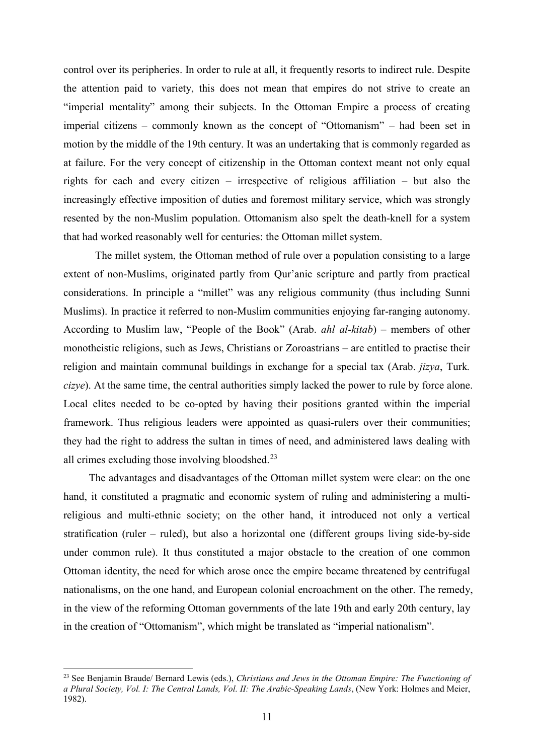control over its peripheries. In order to rule at all, it frequently resorts to indirect rule. Despite the attention paid to variety, this does not mean that empires do not strive to create an "imperial mentality" among their subjects. In the Ottoman Empire a process of creating imperial citizens – commonly known as the concept of "Ottomanism" – had been set in motion by the middle of the 19th century. It was an undertaking that is commonly regarded as at failure. For the very concept of citizenship in the Ottoman context meant not only equal rights for each and every citizen – irrespective of religious affiliation – but also the increasingly effective imposition of duties and foremost military service, which was strongly resented by the non-Muslim population. Ottomanism also spelt the death-knell for a system that had worked reasonably well for centuries: the Ottoman millet system.

The millet system, the Ottoman method of rule over a population consisting to a large extent of non-Muslims, originated partly from Qur'anic scripture and partly from practical considerations. In principle a "millet" was any religious community (thus including Sunni Muslims). In practice it referred to non-Muslim communities enjoying far-ranging autonomy. According to Muslim law, "People of the Book" (Arab. *ahl al-kitab*) – members of other monotheistic religions, such as Jews, Christians or Zoroastrians – are entitled to practise their religion and maintain communal buildings in exchange for a special tax (Arab. *jizya*, Turk*. cizye*). At the same time, the central authorities simply lacked the power to rule by force alone. Local elites needed to be co-opted by having their positions granted within the imperial framework. Thus religious leaders were appointed as quasi-rulers over their communities; they had the right to address the sultan in times of need, and administered laws dealing with all crimes excluding those involving bloodshed.<sup>[23](#page-12-0)</sup>

The advantages and disadvantages of the Ottoman millet system were clear: on the one hand, it constituted a pragmatic and economic system of ruling and administering a multireligious and multi-ethnic society; on the other hand, it introduced not only a vertical stratification (ruler – ruled), but also a horizontal one (different groups living side-by-side under common rule). It thus constituted a major obstacle to the creation of one common Ottoman identity, the need for which arose once the empire became threatened by centrifugal nationalisms, on the one hand, and European colonial encroachment on the other. The remedy, in the view of the reforming Ottoman governments of the late 19th and early 20th century, lay in the creation of "Ottomanism", which might be translated as "imperial nationalism".

<span id="page-12-0"></span> <sup>23</sup> See Benjamin Braude/ Bernard Lewis (eds.), *Christians and Jews in the Ottoman Empire: The Functioning of a Plural Society, Vol. I: The Central Lands, Vol. II: The Arabic-Speaking Lands*, (New York: Holmes and Meier, 1982).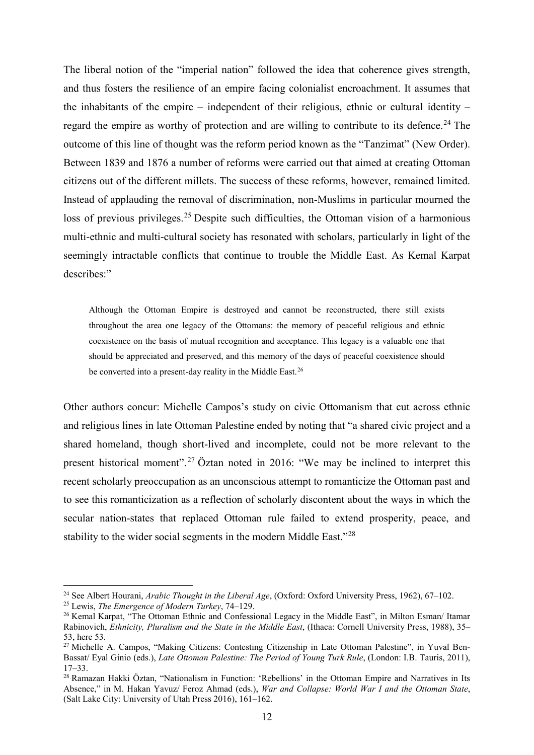The liberal notion of the "imperial nation" followed the idea that coherence gives strength, and thus fosters the resilience of an empire facing colonialist encroachment. It assumes that the inhabitants of the empire – independent of their religious, ethnic or cultural identity – regard the empire as worthy of protection and are willing to contribute to its defence.<sup>[24](#page-13-0)</sup> The outcome of this line of thought was the reform period known as the "Tanzimat" (New Order). Between 1839 and 1876 a number of reforms were carried out that aimed at creating Ottoman citizens out of the different millets. The success of these reforms, however, remained limited. Instead of applauding the removal of discrimination, non-Muslims in particular mourned the loss of previous privileges.<sup>[25](#page-13-1)</sup> Despite such difficulties, the Ottoman vision of a harmonious multi-ethnic and multi-cultural society has resonated with scholars, particularly in light of the seemingly intractable conflicts that continue to trouble the Middle East. As Kemal Karpat describes:"

Although the Ottoman Empire is destroyed and cannot be reconstructed, there still exists throughout the area one legacy of the Ottomans: the memory of peaceful religious and ethnic coexistence on the basis of mutual recognition and acceptance. This legacy is a valuable one that should be appreciated and preserved, and this memory of the days of peaceful coexistence should be converted into a present-day reality in the Middle East.<sup>[26](#page-13-2)</sup>

Other authors concur: Michelle Campos's study on civic Ottomanism that cut across ethnic and religious lines in late Ottoman Palestine ended by noting that "a shared civic project and a shared homeland, though short-lived and incomplete, could not be more relevant to the present historical moment".<sup>[27](#page-13-3)</sup> Öztan noted in 2016: "We may be inclined to interpret this recent scholarly preoccupation as an unconscious attempt to romanticize the Ottoman past and to see this romanticization as a reflection of scholarly discontent about the ways in which the secular nation-states that replaced Ottoman rule failed to extend prosperity, peace, and stability to the wider social segments in the modern Middle East."<sup>[28](#page-13-4)</sup>

<span id="page-13-0"></span> <sup>24</sup> See Albert Hourani, *Arabic Thought in the Liberal Age*, (Oxford: Oxford University Press, 1962), 67–102.

<span id="page-13-1"></span><sup>25</sup> Lewis, *The Emergence of Modern Turkey*, 74–129.

<span id="page-13-2"></span><sup>&</sup>lt;sup>26</sup> Kemal Karpat, "The Ottoman Ethnic and Confessional Legacy in the Middle East", in Milton Esman/ Itamar Rabinovich, *Ethnicity, Pluralism and the State in the Middle East*, (Ithaca: Cornell University Press, 1988), 35– 53, here 53.

<span id="page-13-3"></span><sup>27</sup> Michelle A. Campos, "Making Citizens: Contesting Citizenship in Late Ottoman Palestine", in Yuval Ben-Bassat/ Eyal Ginio (eds.), *Late Ottoman Palestine: The Period of Young Turk Rule*, (London: I.B. Tauris, 2011), 17–33.

<span id="page-13-4"></span><sup>&</sup>lt;sup>28</sup> Ramazan Hakki Öztan, "Nationalism in Function: 'Rebellions' in the Ottoman Empire and Narratives in Its Absence," in M. Hakan Yavuz/ Feroz Ahmad (eds.), *War and Collapse: World War I and the Ottoman State*, (Salt Lake City: University of Utah Press 2016), 161–162.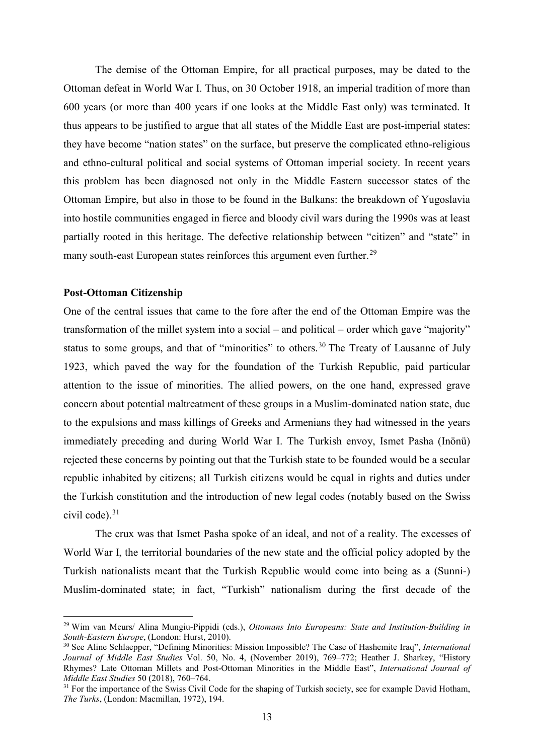The demise of the Ottoman Empire, for all practical purposes, may be dated to the Ottoman defeat in World War I. Thus, on 30 October 1918, an imperial tradition of more than 600 years (or more than 400 years if one looks at the Middle East only) was terminated. It thus appears to be justified to argue that all states of the Middle East are post-imperial states: they have become "nation states" on the surface, but preserve the complicated ethno-religious and ethno-cultural political and social systems of Ottoman imperial society. In recent years this problem has been diagnosed not only in the Middle Eastern successor states of the Ottoman Empire, but also in those to be found in the Balkans: the breakdown of Yugoslavia into hostile communities engaged in fierce and bloody civil wars during the 1990s was at least partially rooted in this heritage. The defective relationship between "citizen" and "state" in many south-east European states reinforces this argument even further.<sup>[29](#page-14-0)</sup>

# **Post-Ottoman Citizenship**

One of the central issues that came to the fore after the end of the Ottoman Empire was the transformation of the millet system into a social – and political – order which gave "majority" status to some groups, and that of "minorities" to others.<sup>[30](#page-14-1)</sup> The Treaty of Lausanne of July 1923, which paved the way for the foundation of the Turkish Republic, paid particular attention to the issue of minorities. The allied powers, on the one hand, expressed grave concern about potential maltreatment of these groups in a Muslim-dominated nation state, due to the expulsions and mass killings of Greeks and Armenians they had witnessed in the years immediately preceding and during World War I. The Turkish envoy, Ismet Pasha (Inönü) rejected these concerns by pointing out that the Turkish state to be founded would be a secular republic inhabited by citizens; all Turkish citizens would be equal in rights and duties under the Turkish constitution and the introduction of new legal codes (notably based on the Swiss civil code).<sup>[31](#page-14-2)</sup>

The crux was that Ismet Pasha spoke of an ideal, and not of a reality. The excesses of World War I, the territorial boundaries of the new state and the official policy adopted by the Turkish nationalists meant that the Turkish Republic would come into being as a (Sunni-) Muslim-dominated state; in fact, "Turkish" nationalism during the first decade of the

<span id="page-14-0"></span> <sup>29</sup> Wim van Meurs/ Alina Mungiu-Pippidi (eds.), *Ottomans Into Europeans: State and Institution-Building in South-Eastern Europe*, (London: Hurst, 2010).

<span id="page-14-1"></span><sup>30</sup> See Aline Schlaepper, "Defining Minorities: Mission Impossible? The Case of Hashemite Iraq", *International Journal of Middle East Studies* Vol. 50, No. 4, (November 2019), 769–772; Heather J. Sharkey, "History Rhymes? Late Ottoman Millets and Post-Ottoman Minorities in the Middle East", *International Journal of Middle East Studies* 50 (2018), 760–764.

<span id="page-14-2"></span><sup>&</sup>lt;sup>31</sup> For the importance of the Swiss Civil Code for the shaping of Turkish society, see for example David Hotham, *The Turks*, (London: Macmillan, 1972), 194.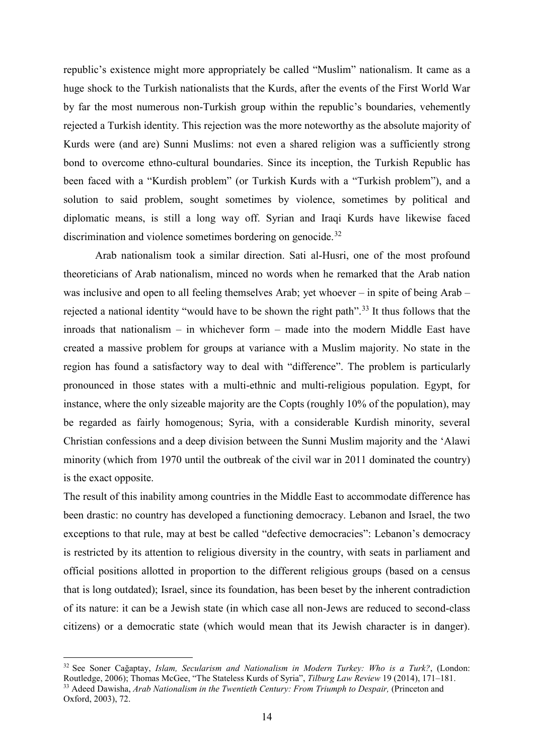republic's existence might more appropriately be called "Muslim" nationalism. It came as a huge shock to the Turkish nationalists that the Kurds, after the events of the First World War by far the most numerous non-Turkish group within the republic's boundaries, vehemently rejected a Turkish identity. This rejection was the more noteworthy as the absolute majority of Kurds were (and are) Sunni Muslims: not even a shared religion was a sufficiently strong bond to overcome ethno-cultural boundaries. Since its inception, the Turkish Republic has been faced with a "Kurdish problem" (or Turkish Kurds with a "Turkish problem"), and a solution to said problem, sought sometimes by violence, sometimes by political and diplomatic means, is still a long way off. Syrian and Iraqi Kurds have likewise faced discrimination and violence sometimes bordering on genocide.<sup>[32](#page-15-0)</sup>

Arab nationalism took a similar direction. Sati al-Husri, one of the most profound theoreticians of Arab nationalism, minced no words when he remarked that the Arab nation was inclusive and open to all feeling themselves Arab; yet whoever – in spite of being Arab – rejected a national identity "would have to be shown the right path".<sup>[33](#page-15-1)</sup> It thus follows that the inroads that nationalism – in whichever form – made into the modern Middle East have created a massive problem for groups at variance with a Muslim majority. No state in the region has found a satisfactory way to deal with "difference". The problem is particularly pronounced in those states with a multi-ethnic and multi-religious population. Egypt, for instance, where the only sizeable majority are the Copts (roughly 10% of the population), may be regarded as fairly homogenous; Syria, with a considerable Kurdish minority, several Christian confessions and a deep division between the Sunni Muslim majority and the 'Alawi minority (which from 1970 until the outbreak of the civil war in 2011 dominated the country) is the exact opposite.

The result of this inability among countries in the Middle East to accommodate difference has been drastic: no country has developed a functioning democracy. Lebanon and Israel, the two exceptions to that rule, may at best be called "defective democracies": Lebanon's democracy is restricted by its attention to religious diversity in the country, with seats in parliament and official positions allotted in proportion to the different religious groups (based on a census that is long outdated); Israel, since its foundation, has been beset by the inherent contradiction of its nature: it can be a Jewish state (in which case all non-Jews are reduced to second-class citizens) or a democratic state (which would mean that its Jewish character is in danger).

<span id="page-15-1"></span><span id="page-15-0"></span> <sup>32</sup> See Soner Cağaptay, *Islam, Secularism and Nationalism in Modern Turkey: Who is a Turk?*, (London: Routledge, 2006); Thomas McGee, "The Stateless Kurds of Syria", *Tilburg Law Review* 19 (2014), 171–181. <sup>33</sup> Adeed Dawisha, Arab Nationalism in the Twentieth Century: From Triumph to Despair, (Princeton and Oxford, 2003), 72.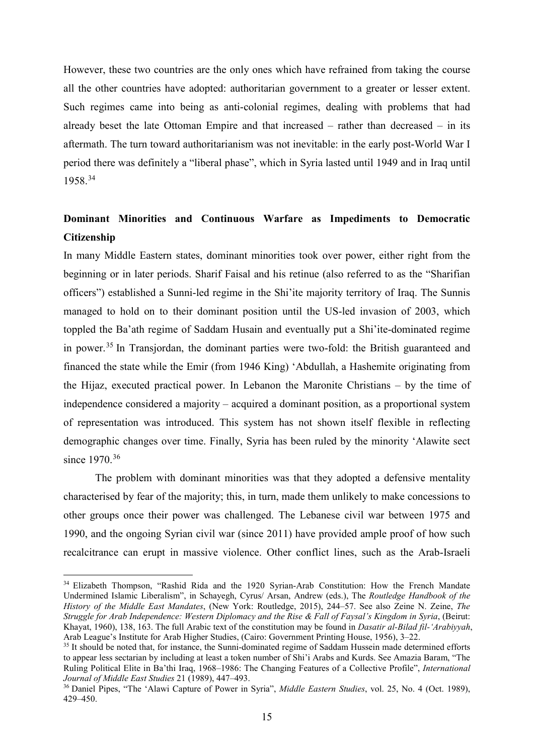However, these two countries are the only ones which have refrained from taking the course all the other countries have adopted: authoritarian government to a greater or lesser extent. Such regimes came into being as anti-colonial regimes, dealing with problems that had already beset the late Ottoman Empire and that increased – rather than decreased – in its aftermath. The turn toward authoritarianism was not inevitable: in the early post-World War I period there was definitely a "liberal phase", which in Syria lasted until 1949 and in Iraq until 1958.[34](#page-16-0)

# **Dominant Minorities and Continuous Warfare as Impediments to Democratic Citizenship**

In many Middle Eastern states, dominant minorities took over power, either right from the beginning or in later periods. Sharif Faisal and his retinue (also referred to as the "Sharifian officers") established a Sunni-led regime in the Shi'ite majority territory of Iraq. The Sunnis managed to hold on to their dominant position until the US-led invasion of 2003, which toppled the Ba'ath regime of Saddam Husain and eventually put a Shi'ite-dominated regime in power.<sup>[35](#page-16-1)</sup> In Transjordan, the dominant parties were two-fold: the British guaranteed and financed the state while the Emir (from 1946 King) 'Abdullah, a Hashemite originating from the Hijaz, executed practical power. In Lebanon the Maronite Christians – by the time of independence considered a majority – acquired a dominant position, as a proportional system of representation was introduced. This system has not shown itself flexible in reflecting demographic changes over time. Finally, Syria has been ruled by the minority 'Alawite sect since 1970.<sup>[36](#page-16-2)</sup>

The problem with dominant minorities was that they adopted a defensive mentality characterised by fear of the majority; this, in turn, made them unlikely to make concessions to other groups once their power was challenged. The Lebanese civil war between 1975 and 1990, and the ongoing Syrian civil war (since 2011) have provided ample proof of how such recalcitrance can erupt in massive violence. Other conflict lines, such as the Arab-Israeli

<span id="page-16-0"></span><sup>&</sup>lt;sup>34</sup> Elizabeth Thompson, "Rashid Rida and the 1920 Syrian-Arab Constitution: How the French Mandate Undermined Islamic Liberalism", in Schayegh, Cyrus/ Arsan, Andrew (eds.), The *Routledge Handbook of the History of the Middle East Mandates*, (New York: Routledge, 2015), 244–57. See also Zeine N. Zeine, *The Struggle for Arab Independence: Western Diplomacy and the Rise & Fall of Faysal's Kingdom in Syria*, (Beirut: Khayat, 1960), 138, 163. The full Arabic text of the constitution may be found in *Dasatir al-Bilad fil-'Arabiyyah*, Arab League's Institute for Arab Higher Studies, (Cairo: Government Printing House, 1956), 3–22.

<span id="page-16-1"></span><sup>&</sup>lt;sup>35</sup> It should be noted that, for instance, the Sunni-dominated regime of Saddam Hussein made determined efforts to appear less sectarian by including at least a token number of Shi'i Arabs and Kurds. See Amazia Baram, "The Ruling Political Elite in Ba'thi Iraq, 1968–1986: The Changing Features of a Collective Profile", *International Journal of Middle East Studies* 21 (1989), 447–493.

<span id="page-16-2"></span><sup>36</sup> Daniel Pipes, "The 'Alawi Capture of Power in Syria", *Middle Eastern Studies*, vol. 25, No. 4 (Oct. 1989), 429–450.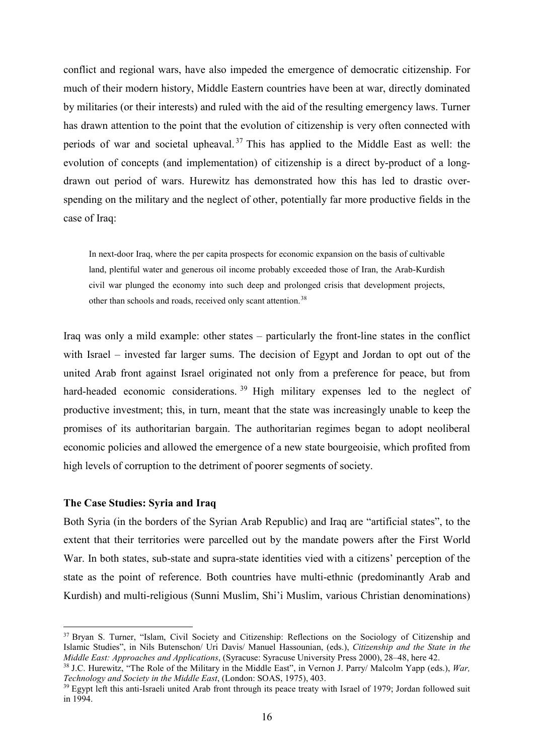conflict and regional wars, have also impeded the emergence of democratic citizenship. For much of their modern history, Middle Eastern countries have been at war, directly dominated by militaries (or their interests) and ruled with the aid of the resulting emergency laws. Turner has drawn attention to the point that the evolution of citizenship is very often connected with periods of war and societal upheaval. [37](#page-17-0) This has applied to the Middle East as well: the evolution of concepts (and implementation) of citizenship is a direct by-product of a longdrawn out period of wars. Hurewitz has demonstrated how this has led to drastic overspending on the military and the neglect of other, potentially far more productive fields in the case of Iraq:

In next-door Iraq, where the per capita prospects for economic expansion on the basis of cultivable land, plentiful water and generous oil income probably exceeded those of Iran, the Arab-Kurdish civil war plunged the economy into such deep and prolonged crisis that development projects, other than schools and roads, received only scant attention.<sup>[38](#page-17-1)</sup>

Iraq was only a mild example: other states – particularly the front-line states in the conflict with Israel – invested far larger sums. The decision of Egypt and Jordan to opt out of the united Arab front against Israel originated not only from a preference for peace, but from hard-headed economic considerations.<sup>[39](#page-17-2)</sup> High military expenses led to the neglect of productive investment; this, in turn, meant that the state was increasingly unable to keep the promises of its authoritarian bargain. The authoritarian regimes began to adopt neoliberal economic policies and allowed the emergence of a new state bourgeoisie, which profited from high levels of corruption to the detriment of poorer segments of society.

### **The Case Studies: Syria and Iraq**

Both Syria (in the borders of the Syrian Arab Republic) and Iraq are "artificial states", to the extent that their territories were parcelled out by the mandate powers after the First World War. In both states, sub-state and supra-state identities vied with a citizens' perception of the state as the point of reference. Both countries have multi-ethnic (predominantly Arab and Kurdish) and multi-religious (Sunni Muslim, Shi'i Muslim, various Christian denominations)

<span id="page-17-0"></span> <sup>37</sup> Bryan S. Turner, "Islam, Civil Society and Citizenship: Reflections on the Sociology of Citizenship and Islamic Studies", in Nils Butenschon/ Uri Davis/ Manuel Hassounian, (eds.), *Citizenship and the State in the Middle East: Approaches and Applications*, (Syracuse: Syracuse University Press 2000), 28–48, here 42.

<span id="page-17-1"></span><sup>38</sup> J.C. Hurewitz, "The Role of the Military in the Middle East", in Vernon J. Parry/ Malcolm Yapp (eds.), *War, Technology and Society in the Middle East*, (London: SOAS, 1975), 403.

<span id="page-17-2"></span><sup>&</sup>lt;sup>39</sup> Egypt left this anti-Israeli united Arab front through its peace treaty with Israel of 1979; Jordan followed suit in 1994.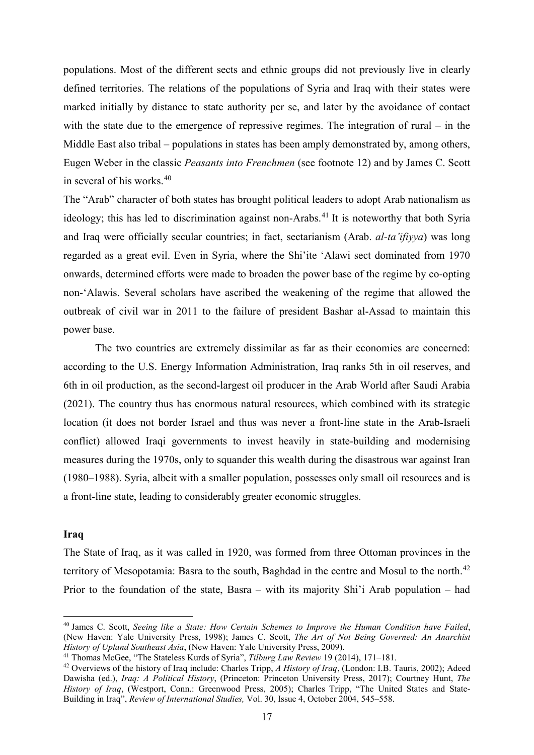populations. Most of the different sects and ethnic groups did not previously live in clearly defined territories. The relations of the populations of Syria and Iraq with their states were marked initially by distance to state authority per se, and later by the avoidance of contact with the state due to the emergence of repressive regimes. The integration of rural – in the Middle East also tribal – populations in states has been amply demonstrated by, among others, Eugen Weber in the classic *Peasants into Frenchmen* (see footnote 12) and by James C. Scott in several of his works.<sup>[40](#page-18-0)</sup>

The "Arab" character of both states has brought political leaders to adopt Arab nationalism as ideology; this has led to discrimination against non-Arabs.<sup>[41](#page-18-1)</sup> It is noteworthy that both Syria and Iraq were officially secular countries; in fact, sectarianism (Arab. *al-ta'ifiyya*) was long regarded as a great evil. Even in Syria, where the Shi'ite 'Alawi sect dominated from 1970 onwards, determined efforts were made to broaden the power base of the regime by co-opting non-'Alawis. Several scholars have ascribed the weakening of the regime that allowed the outbreak of civil war in 2011 to the failure of president Bashar al-Assad to maintain this power base.

The two countries are extremely dissimilar as far as their economies are concerned: according to the [U.S. Energy Information](https://en.wikipedia.org/wiki/Energy_Information_Administration) Administration, Iraq ranks 5th in oil reserves, and 6th in oil production, as the second-largest oil producer in the Arab World after Saudi Arabia (2021). The country thus has enormous natural resources, which combined with its strategic location (it does not border Israel and thus was never a front-line state in the Arab-Israeli conflict) allowed Iraqi governments to invest heavily in state-building and modernising measures during the 1970s, only to squander this wealth during the disastrous war against Iran (1980–1988). Syria, albeit with a smaller population, possesses only small oil resources and is a front-line state, leading to considerably greater economic struggles.

# **Iraq**

The State of Iraq, as it was called in 1920, was formed from three Ottoman provinces in the territory of Mesopotamia: Basra to the south, Baghdad in the centre and Mosul to the north.<sup>[42](#page-18-2)</sup> Prior to the foundation of the state, Basra – with its majority Shi'i Arab population – had

<span id="page-18-0"></span> <sup>40</sup> James C. Scott, *Seeing like a State: How Certain Schemes to Improve the Human Condition have Failed*, (New Haven: Yale University Press, 1998); James C. Scott, *The Art of Not Being Governed: An Anarchist History of Upland Southeast Asia*, (New Haven: Yale University Press, 2009).

<span id="page-18-1"></span><sup>41</sup> Thomas McGee, "The Stateless Kurds of Syria", *Tilburg Law Review* 19 (2014), 171–181.

<span id="page-18-2"></span><sup>42</sup> Overviews of the history of Iraq include: Charles Tripp, *A History of Iraq*, (London: I.B. Tauris, 2002); Adeed Dawisha (ed.), *Iraq: A Political History*, (Princeton: Princeton University Press, 2017); Courtney Hunt, *The History of Iraq*, (Westport, Conn.: Greenwood Press, 2005); Charles Tripp, "The United States and State-Building in Iraq", *Review of International Studies,* Vol. 30, Issue 4, October 2004, 545–558.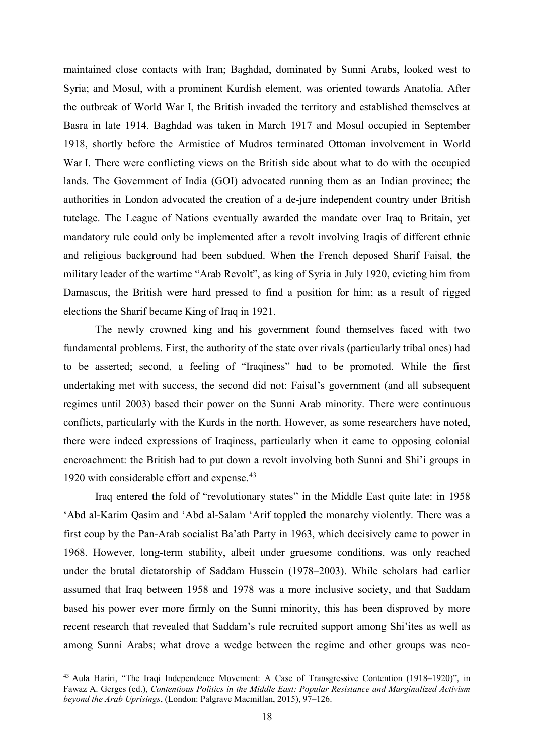maintained close contacts with Iran; Baghdad, dominated by Sunni Arabs, looked west to Syria; and Mosul, with a prominent Kurdish element, was oriented towards Anatolia. After the outbreak of World War I, the British invaded the territory and established themselves at Basra in late 1914. Baghdad was taken in March 1917 and Mosul occupied in September 1918, shortly before the Armistice of Mudros terminated Ottoman involvement in World War I. There were conflicting views on the British side about what to do with the occupied lands. The Government of India (GOI) advocated running them as an Indian province; the authorities in London advocated the creation of a de-jure independent country under British tutelage. The League of Nations eventually awarded the mandate over Iraq to Britain, yet mandatory rule could only be implemented after a revolt involving Iraqis of different ethnic and religious background had been subdued. When the French deposed Sharif Faisal, the military leader of the wartime "Arab Revolt", as king of Syria in July 1920, evicting him from Damascus, the British were hard pressed to find a position for him; as a result of rigged elections the Sharif became King of Iraq in 1921.

The newly crowned king and his government found themselves faced with two fundamental problems. First, the authority of the state over rivals (particularly tribal ones) had to be asserted; second, a feeling of "Iraqiness" had to be promoted. While the first undertaking met with success, the second did not: Faisal's government (and all subsequent regimes until 2003) based their power on the Sunni Arab minority. There were continuous conflicts, particularly with the Kurds in the north. However, as some researchers have noted, there were indeed expressions of Iraqiness, particularly when it came to opposing colonial encroachment: the British had to put down a revolt involving both Sunni and Shi'i groups in 1920 with considerable effort and expense. [43](#page-19-0)

Iraq entered the fold of "revolutionary states" in the Middle East quite late: in 1958 'Abd al-Karim Qasim and 'Abd al-Salam 'Arif toppled the monarchy violently. There was a first coup by the Pan-Arab socialist Ba'ath Party in 1963, which decisively came to power in 1968. However, long-term stability, albeit under gruesome conditions, was only reached under the brutal dictatorship of Saddam Hussein (1978–2003). While scholars had earlier assumed that Iraq between 1958 and 1978 was a more inclusive society, and that Saddam based his power ever more firmly on the Sunni minority, this has been disproved by more recent research that revealed that Saddam's rule recruited support among Shi'ites as well as among Sunni Arabs; what drove a wedge between the regime and other groups was neo-

<span id="page-19-0"></span> <sup>43</sup> Aula Hariri, "The Iraqi Independence Movement: A Case of Transgressive Contention (1918–1920)", in Fawaz A. Gerges (ed.), *Contentious Politics in the Middle East: Popular Resistance and Marginalized Activism beyond the Arab Uprisings*, (London: Palgrave Macmillan, 2015), 97–126.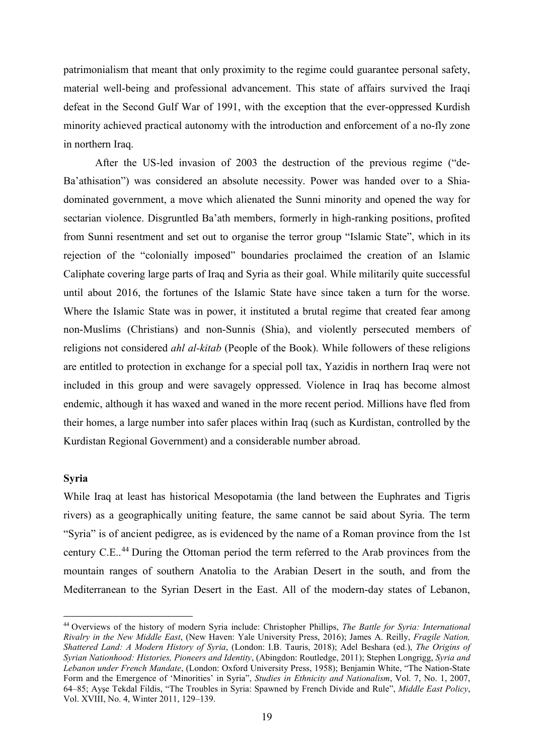patrimonialism that meant that only proximity to the regime could guarantee personal safety, material well-being and professional advancement. This state of affairs survived the Iraqi defeat in the Second Gulf War of 1991, with the exception that the ever-oppressed Kurdish minority achieved practical autonomy with the introduction and enforcement of a no-fly zone in northern Iraq.

After the US-led invasion of 2003 the destruction of the previous regime ("de-Ba'athisation") was considered an absolute necessity. Power was handed over to a Shiadominated government, a move which alienated the Sunni minority and opened the way for sectarian violence. Disgruntled Ba'ath members, formerly in high-ranking positions, profited from Sunni resentment and set out to organise the terror group "Islamic State", which in its rejection of the "colonially imposed" boundaries proclaimed the creation of an Islamic Caliphate covering large parts of Iraq and Syria as their goal. While militarily quite successful until about 2016, the fortunes of the Islamic State have since taken a turn for the worse. Where the Islamic State was in power, it instituted a brutal regime that created fear among non-Muslims (Christians) and non-Sunnis (Shia), and violently persecuted members of religions not considered *ahl al-kitab* (People of the Book). While followers of these religions are entitled to protection in exchange for a special poll tax, Yazidis in northern Iraq were not included in this group and were savagely oppressed. Violence in Iraq has become almost endemic, although it has waxed and waned in the more recent period. Millions have fled from their homes, a large number into safer places within Iraq (such as Kurdistan, controlled by the Kurdistan Regional Government) and a considerable number abroad.

#### **Syria**

While Iraq at least has historical Mesopotamia (the land between the Euphrates and Tigris rivers) as a geographically uniting feature, the same cannot be said about Syria. The term "Syria" is of ancient pedigree, as is evidenced by the name of a Roman province from the 1st century C.E..<sup>[44](#page-20-0)</sup> During the Ottoman period the term referred to the Arab provinces from the mountain ranges of southern Anatolia to the Arabian Desert in the south, and from the Mediterranean to the Syrian Desert in the East. All of the modern-day states of Lebanon,

<span id="page-20-0"></span> <sup>44</sup> Overviews of the history of modern Syria include: Christopher Phillips, *The Battle for Syria: International Rivalry in the New Middle East*, (New Haven: Yale University Press, 2016); James A. Reilly, *Fragile Nation, Shattered Land: A Modern History of Syria*, (London: I.B. Tauris, 2018); Adel Beshara (ed.), *The Origins of Syrian Nationhood: Histories, Pioneers and Identity*, (Abingdon: Routledge, 2011); Stephen Longrigg, *Syria and Lebanon under French Mandate*, (London: Oxford University Press, 1958); Benjamin White, "The Nation-State Form and the Emergence of 'Minorities' in Syria", *Studies in Ethnicity and Nationalism*, Vol. 7, No. 1, 2007, 64–85; Ayşe Tekdal Fildis, "The Troubles in Syria: Spawned by French Divide and Rule", *Middle East Policy*, Vol. XVIII, No. 4, Winter 2011, 129–139.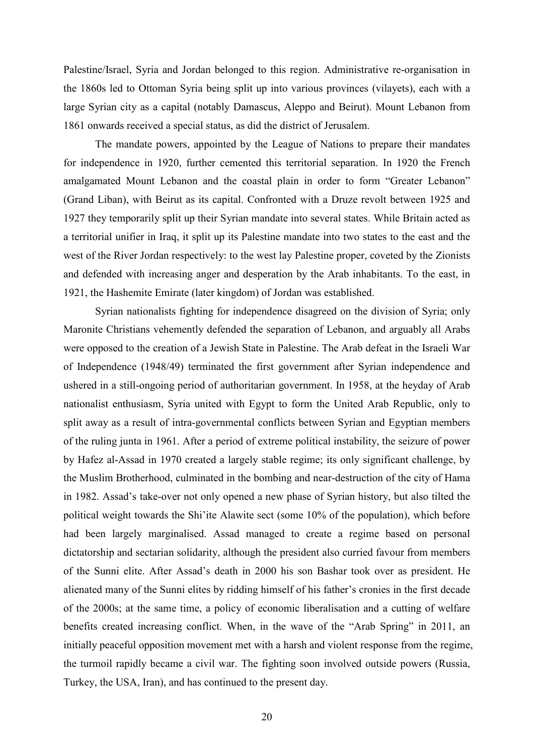Palestine/Israel, Syria and Jordan belonged to this region. Administrative re-organisation in the 1860s led to Ottoman Syria being split up into various provinces (vilayets), each with a large Syrian city as a capital (notably Damascus, Aleppo and Beirut). Mount Lebanon from 1861 onwards received a special status, as did the district of Jerusalem.

The mandate powers, appointed by the League of Nations to prepare their mandates for independence in 1920, further cemented this territorial separation. In 1920 the French amalgamated Mount Lebanon and the coastal plain in order to form "Greater Lebanon" (Grand Liban), with Beirut as its capital. Confronted with a Druze revolt between 1925 and 1927 they temporarily split up their Syrian mandate into several states. While Britain acted as a territorial unifier in Iraq, it split up its Palestine mandate into two states to the east and the west of the River Jordan respectively: to the west lay Palestine proper, coveted by the Zionists and defended with increasing anger and desperation by the Arab inhabitants. To the east, in 1921, the Hashemite Emirate (later kingdom) of Jordan was established.

Syrian nationalists fighting for independence disagreed on the division of Syria; only Maronite Christians vehemently defended the separation of Lebanon, and arguably all Arabs were opposed to the creation of a Jewish State in Palestine. The Arab defeat in the Israeli War of Independence (1948/49) terminated the first government after Syrian independence and ushered in a still-ongoing period of authoritarian government. In 1958, at the heyday of Arab nationalist enthusiasm, Syria united with Egypt to form the United Arab Republic, only to split away as a result of intra-governmental conflicts between Syrian and Egyptian members of the ruling junta in 1961. After a period of extreme political instability, the seizure of power by Hafez al-Assad in 1970 created a largely stable regime; its only significant challenge, by the Muslim Brotherhood, culminated in the bombing and near-destruction of the city of Hama in 1982. Assad's take-over not only opened a new phase of Syrian history, but also tilted the political weight towards the Shi'ite Alawite sect (some 10% of the population), which before had been largely marginalised. Assad managed to create a regime based on personal dictatorship and sectarian solidarity, although the president also curried favour from members of the Sunni elite. After Assad's death in 2000 his son Bashar took over as president. He alienated many of the Sunni elites by ridding himself of his father's cronies in the first decade of the 2000s; at the same time, a policy of economic liberalisation and a cutting of welfare benefits created increasing conflict. When, in the wave of the "Arab Spring" in 2011, an initially peaceful opposition movement met with a harsh and violent response from the regime, the turmoil rapidly became a civil war. The fighting soon involved outside powers (Russia, Turkey, the USA, Iran), and has continued to the present day.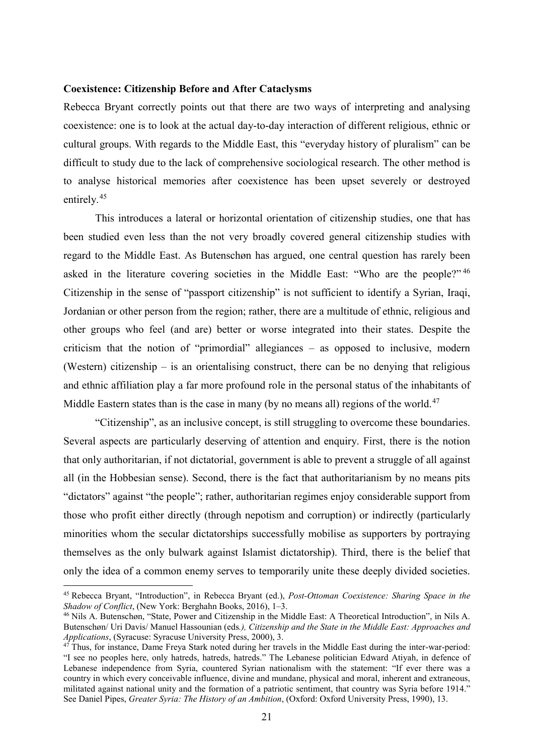# **Coexistence: Citizenship Before and After Cataclysms**

Rebecca Bryant correctly points out that there are two ways of interpreting and analysing coexistence: one is to look at the actual day-to-day interaction of different religious, ethnic or cultural groups. With regards to the Middle East, this "everyday history of pluralism" can be difficult to study due to the lack of comprehensive sociological research. The other method is to analyse historical memories after coexistence has been upset severely or destroyed entirely.[45](#page-22-0)

This introduces a lateral or horizontal orientation of citizenship studies, one that has been studied even less than the not very broadly covered general citizenship studies with regard to the Middle East. As Butenschøn has argued, one central question has rarely been asked in the literature covering societies in the Middle East: "Who are the people?" <sup>[46](#page-22-1)</sup> Citizenship in the sense of "passport citizenship" is not sufficient to identify a Syrian, Iraqi, Jordanian or other person from the region; rather, there are a multitude of ethnic, religious and other groups who feel (and are) better or worse integrated into their states. Despite the criticism that the notion of "primordial" allegiances – as opposed to inclusive, modern (Western) citizenship – is an orientalising construct, there can be no denying that religious and ethnic affiliation play a far more profound role in the personal status of the inhabitants of Middle Eastern states than is the case in many (by no means all) regions of the world.<sup>[47](#page-22-2)</sup>

"Citizenship", as an inclusive concept, is still struggling to overcome these boundaries. Several aspects are particularly deserving of attention and enquiry. First, there is the notion that only authoritarian, if not dictatorial, government is able to prevent a struggle of all against all (in the Hobbesian sense). Second, there is the fact that authoritarianism by no means pits "dictators" against "the people"; rather, authoritarian regimes enjoy considerable support from those who profit either directly (through nepotism and corruption) or indirectly (particularly minorities whom the secular dictatorships successfully mobilise as supporters by portraying themselves as the only bulwark against Islamist dictatorship). Third, there is the belief that only the idea of a common enemy serves to temporarily unite these deeply divided societies.

<span id="page-22-0"></span> <sup>45</sup> Rebecca Bryant, "Introduction", in Rebecca Bryant (ed.), *Post-Ottoman Coexistence: Sharing Space in the Shadow of Conflict*, (New York: Berghahn Books, 2016), 1–3.

<span id="page-22-1"></span><sup>46</sup> Nils A. Butenschøn, "State, Power and Citizenship in the Middle East: A Theoretical Introduction", in Nils A. Butenschøn/ Uri Davis/ Manuel Hassounian (eds*.), Citizenship and the State in the Middle East: Approaches and Applications*, (Syracuse: Syracuse University Press, 2000), 3.

<span id="page-22-2"></span><sup>&</sup>lt;sup>47</sup> Thus, for instance, Dame Freya Stark noted during her travels in the Middle East during the inter-war-period: "I see no peoples here, only hatreds, hatreds, hatreds." The Lebanese politician Edward Atiyah, in defence of Lebanese independence from Syria, countered Syrian nationalism with the statement: "If ever there was a country in which every conceivable influence, divine and mundane, physical and moral, inherent and extraneous, militated against national unity and the formation of a patriotic sentiment, that country was Syria before 1914." See Daniel Pipes, *Greater Syria: The History of an Ambition*, (Oxford: Oxford University Press, 1990), 13.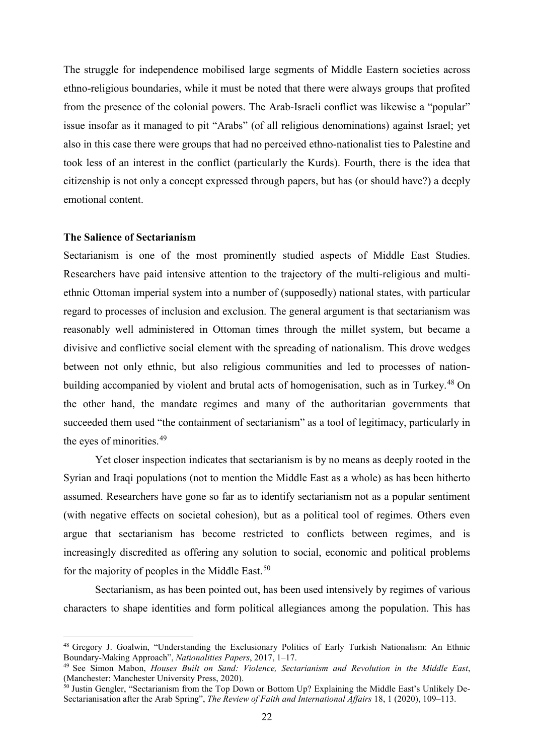The struggle for independence mobilised large segments of Middle Eastern societies across ethno-religious boundaries, while it must be noted that there were always groups that profited from the presence of the colonial powers. The Arab-Israeli conflict was likewise a "popular" issue insofar as it managed to pit "Arabs" (of all religious denominations) against Israel; yet also in this case there were groups that had no perceived ethno-nationalist ties to Palestine and took less of an interest in the conflict (particularly the Kurds). Fourth, there is the idea that citizenship is not only a concept expressed through papers, but has (or should have?) a deeply emotional content.

# **The Salience of Sectarianism**

Sectarianism is one of the most prominently studied aspects of Middle East Studies. Researchers have paid intensive attention to the trajectory of the multi-religious and multiethnic Ottoman imperial system into a number of (supposedly) national states, with particular regard to processes of inclusion and exclusion. The general argument is that sectarianism was reasonably well administered in Ottoman times through the millet system, but became a divisive and conflictive social element with the spreading of nationalism. This drove wedges between not only ethnic, but also religious communities and led to processes of nation-building accompanied by violent and brutal acts of homogenisation, such as in Turkey.<sup>[48](#page-23-0)</sup> On the other hand, the mandate regimes and many of the authoritarian governments that succeeded them used "the containment of sectarianism" as a tool of legitimacy, particularly in the eyes of minorities.<sup>[49](#page-23-1)</sup>

Yet closer inspection indicates that sectarianism is by no means as deeply rooted in the Syrian and Iraqi populations (not to mention the Middle East as a whole) as has been hitherto assumed. Researchers have gone so far as to identify sectarianism not as a popular sentiment (with negative effects on societal cohesion), but as a political tool of regimes. Others even argue that sectarianism has become restricted to conflicts between regimes, and is increasingly discredited as offering any solution to social, economic and political problems for the majority of peoples in the Middle East.<sup>[50](#page-23-2)</sup>

Sectarianism, as has been pointed out, has been used intensively by regimes of various characters to shape identities and form political allegiances among the population. This has

<span id="page-23-0"></span> <sup>48</sup> Gregory J. Goalwin, "Understanding the Exclusionary Politics of Early Turkish Nationalism: An Ethnic Boundary-Making Approach", *Nationalities Papers*, 2017, 1–17.

<span id="page-23-1"></span><sup>49</sup> See Simon Mabon, *Houses Built on Sand: Violence, Sectarianism and Revolution in the Middle East*, (Manchester: Manchester University Press, 2020).

<span id="page-23-2"></span><sup>&</sup>lt;sup>50</sup> Justin Gengler, "Sectarianism from the Top Down or Bottom Up? Explaining the Middle East's Unlikely De-Sectarianisation after the Arab Spring", *The Review of Faith and International Affairs* 18, 1 (2020), 109–113.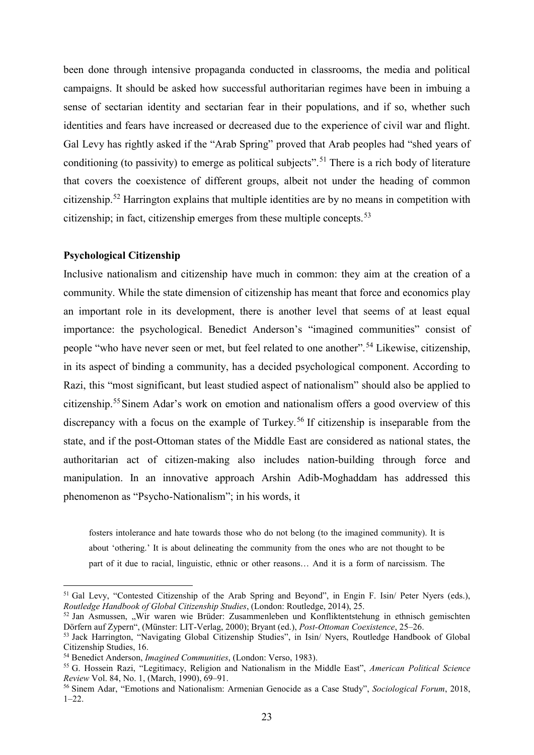been done through intensive propaganda conducted in classrooms, the media and political campaigns. It should be asked how successful authoritarian regimes have been in imbuing a sense of sectarian identity and sectarian fear in their populations, and if so, whether such identities and fears have increased or decreased due to the experience of civil war and flight. Gal Levy has rightly asked if the "Arab Spring" proved that Arab peoples had "shed years of conditioning (to passivity) to emerge as political subjects".<sup>[51](#page-24-0)</sup> There is a rich body of literature that covers the coexistence of different groups, albeit not under the heading of common citizenship.[52](#page-24-1) Harrington explains that multiple identities are by no means in competition with citizenship; in fact, citizenship emerges from these multiple concepts.  $53$ 

# **Psychological Citizenship**

Inclusive nationalism and citizenship have much in common: they aim at the creation of a community. While the state dimension of citizenship has meant that force and economics play an important role in its development, there is another level that seems of at least equal importance: the psychological. Benedict Anderson's "imagined communities" consist of people "who have never seen or met, but feel related to one another".<sup>[54](#page-24-3)</sup> Likewise, citizenship, in its aspect of binding a community, has a decided psychological component. According to Razi, this "most significant, but least studied aspect of nationalism" should also be applied to citizenship.[55](#page-24-4)Sinem Adar's work on emotion and nationalism offers a good overview of this discrepancy with a focus on the example of Turkey.<sup>[56](#page-24-5)</sup> If citizenship is inseparable from the state, and if the post-Ottoman states of the Middle East are considered as national states, the authoritarian act of citizen-making also includes nation-building through force and manipulation. In an innovative approach Arshin Adib-Moghaddam has addressed this phenomenon as "Psycho-Nationalism"; in his words, it

fosters intolerance and hate towards those who do not belong (to the imagined community). It is about 'othering.' It is about delineating the community from the ones who are not thought to be part of it due to racial, linguistic, ethnic or other reasons… And it is a form of narcissism. The

<span id="page-24-0"></span> <sup>51</sup> Gal Levy, "Contested Citizenship of the Arab Spring and Beyond", in Engin F. Isin/ Peter Nyers (eds.), *Routledge Handbook of Global Citizenship Studies*, (London: Routledge, 2014), 25.

<span id="page-24-1"></span> $52$  Jan Asmussen, "Wir waren wie Brüder: Zusammenleben und Konfliktentstehung in ethnisch gemischten Dörfern auf Zypern", (Münster: LIT-Verlag, 2000); Bryant (ed.), *Post-Ottoman Coexistence*, 25–26.

<span id="page-24-2"></span><sup>53</sup> Jack Harrington, "Navigating Global Citizenship Studies", in Isin/ Nyers, Routledge Handbook of Global Citizenship Studies, 16.

<span id="page-24-3"></span><sup>54</sup> Benedict Anderson, *Imagined Communities*, (London: Verso, 1983).

<span id="page-24-4"></span><sup>55</sup> G. Hossein Razi, "Legitimacy, Religion and Nationalism in the Middle East", *American Political Science Review* Vol. 84, No. 1, (March, 1990), 69–91.

<span id="page-24-5"></span><sup>56</sup> Sinem Adar, "Emotions and Nationalism: Armenian Genocide as a Case Study", *Sociological Forum*, 2018, 1–22.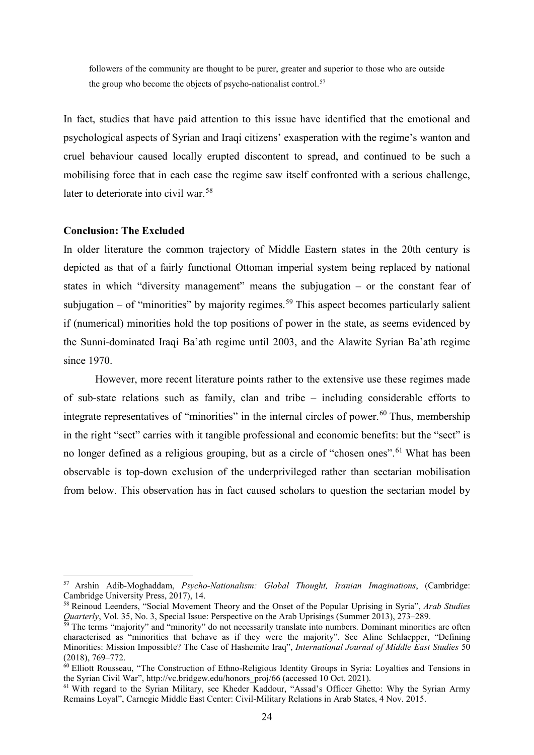followers of the community are thought to be purer, greater and superior to those who are outside the group who become the objects of psycho-nationalist control.<sup>[57](#page-25-0)</sup>

In fact, studies that have paid attention to this issue have identified that the emotional and psychological aspects of Syrian and Iraqi citizens' exasperation with the regime's wanton and cruel behaviour caused locally erupted discontent to spread, and continued to be such a mobilising force that in each case the regime saw itself confronted with a serious challenge, later to deteriorate into civil war.<sup>[58](#page-25-1)</sup>

# **Conclusion: The Excluded**

In older literature the common trajectory of Middle Eastern states in the 20th century is depicted as that of a fairly functional Ottoman imperial system being replaced by national states in which "diversity management" means the subjugation – or the constant fear of subjugation – of "minorities" by majority regimes.<sup>[59](#page-25-2)</sup> This aspect becomes particularly salient if (numerical) minorities hold the top positions of power in the state, as seems evidenced by the Sunni-dominated Iraqi Ba'ath regime until 2003, and the Alawite Syrian Ba'ath regime since 1970.

However, more recent literature points rather to the extensive use these regimes made of sub-state relations such as family, clan and tribe – including considerable efforts to integrate representatives of "minorities" in the internal circles of power.<sup>[60](#page-25-3)</sup> Thus, membership in the right "sect" carries with it tangible professional and economic benefits: but the "sect" is no longer defined as a religious grouping, but as a circle of "chosen ones". [61](#page-25-4) What has been observable is top-down exclusion of the underprivileged rather than sectarian mobilisation from below. This observation has in fact caused scholars to question the sectarian model by

<span id="page-25-0"></span> <sup>57</sup> Arshin Adib-Moghaddam, *Psycho-Nationalism: Global Thought, Iranian Imaginations*, (Cambridge: Cambridge University Press, 2017), 14.

<span id="page-25-1"></span><sup>58</sup> Reinoud Leenders, "Social Movement Theory and the Onset of the Popular Uprising in Syria", *Arab Studies Quarterly*, Vol. 35, No. 3, Special Issue: Perspective on the Arab Uprisings (Summer 2013), 273–289.

<span id="page-25-2"></span> $\frac{59}{2}$  The terms "majority" and "minority" do not necessarily translate into numbers. Dominant minorities are often characterised as "minorities that behave as if they were the majority". See Aline Schlaepper, "Defining Minorities: Mission Impossible? The Case of Hashemite Iraq", *International Journal of Middle East Studies* 50 (2018), 769–772.

<span id="page-25-3"></span><sup>&</sup>lt;sup>60</sup> Elliott Rousseau, "The Construction of Ethno-Religious Identity Groups in Syria: Loyalties and Tensions in the Syrian Civil War", [http://vc.bridgew.edu/honors\\_proj/66](http://vc.bridgew.edu/honors_proj/66) (accessed 10 Oct. 2021).

<span id="page-25-4"></span><sup>61</sup> With regard to the Syrian Military, see Kheder Kaddour, "Assad's Officer Ghetto: Why the Syrian Army Remains Loyal", Carnegie Middle East Center: Civil-Military Relations in Arab States, 4 Nov. 2015.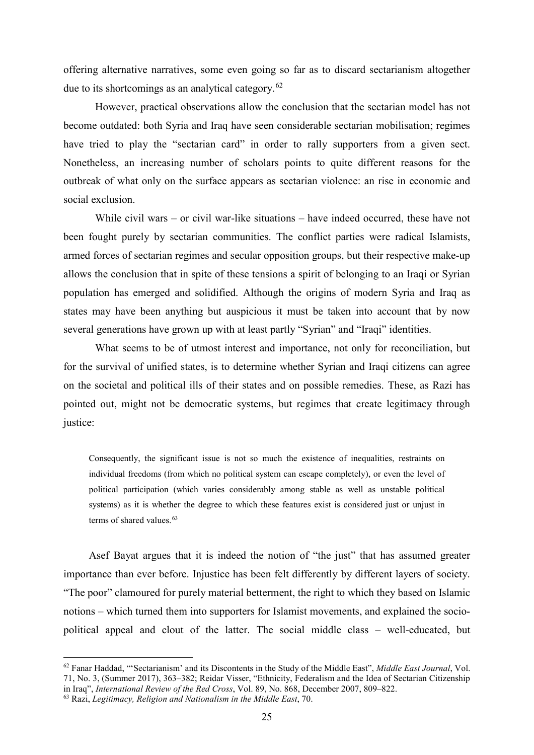offering alternative narratives, some even going so far as to discard sectarianism altogether due to its shortcomings as an analytical category.[62](#page-26-0)

However, practical observations allow the conclusion that the sectarian model has not become outdated: both Syria and Iraq have seen considerable sectarian mobilisation; regimes have tried to play the "sectarian card" in order to rally supporters from a given sect. Nonetheless, an increasing number of scholars points to quite different reasons for the outbreak of what only on the surface appears as sectarian violence: an rise in economic and social exclusion.

While civil wars – or civil war-like situations – have indeed occurred, these have not been fought purely by sectarian communities. The conflict parties were radical Islamists, armed forces of sectarian regimes and secular opposition groups, but their respective make-up allows the conclusion that in spite of these tensions a spirit of belonging to an Iraqi or Syrian population has emerged and solidified. Although the origins of modern Syria and Iraq as states may have been anything but auspicious it must be taken into account that by now several generations have grown up with at least partly "Syrian" and "Iraqi" identities.

What seems to be of utmost interest and importance, not only for reconciliation, but for the survival of unified states, is to determine whether Syrian and Iraqi citizens can agree on the societal and political ills of their states and on possible remedies. These, as Razi has pointed out, might not be democratic systems, but regimes that create legitimacy through justice:

Consequently, the significant issue is not so much the existence of inequalities, restraints on individual freedoms (from which no political system can escape completely), or even the level of political participation (which varies considerably among stable as well as unstable political systems) as it is whether the degree to which these features exist is considered just or unjust in terms of shared values.<sup>[63](#page-26-1)</sup>

Asef Bayat argues that it is indeed the notion of "the just" that has assumed greater importance than ever before. Injustice has been felt differently by different layers of society. "The poor" clamoured for purely material betterment, the right to which they based on Islamic notions – which turned them into supporters for Islamist movements, and explained the sociopolitical appeal and clout of the latter. The social middle class – well-educated, but

<span id="page-26-0"></span> <sup>62</sup> Fanar Haddad, "'Sectarianism' and its Discontents in the Study of the Middle East", *Middle East Journal*, Vol. 71, No. 3, (Summer 2017), 363–382; Reidar Visser, "Ethnicity, Federalism and the Idea of Sectarian Citizenship in Iraq", *International Review of the Red Cross*, Vol. 89, No. 868, December 2007, 809–822.

<span id="page-26-1"></span><sup>63</sup> Razi, *Legitimacy, Religion and Nationalism in the Middle East*, 70.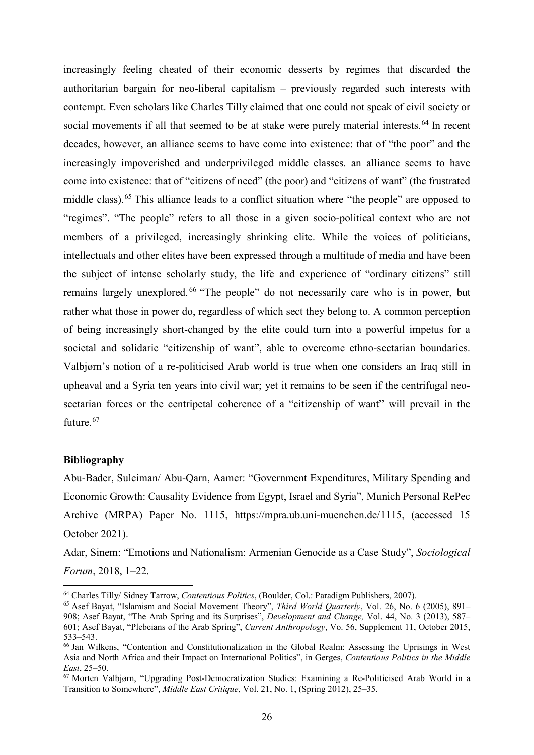increasingly feeling cheated of their economic desserts by regimes that discarded the authoritarian bargain for neo-liberal capitalism – previously regarded such interests with contempt. Even scholars like Charles Tilly claimed that one could not speak of civil society or social movements if all that seemed to be at stake were purely material interests.<sup>[64](#page-27-0)</sup> In recent decades, however, an alliance seems to have come into existence: that of "the poor" and the increasingly impoverished and underprivileged middle classes. an alliance seems to have come into existence: that of "citizens of need" (the poor) and "citizens of want" (the frustrated middle class).<sup>[65](#page-27-1)</sup> This alliance leads to a conflict situation where "the people" are opposed to "regimes". "The people" refers to all those in a given socio-political context who are not members of a privileged, increasingly shrinking elite. While the voices of politicians, intellectuals and other elites have been expressed through a multitude of media and have been the subject of intense scholarly study, the life and experience of "ordinary citizens" still remains largely unexplored. [66](#page-27-2) "The people" do not necessarily care who is in power, but rather what those in power do, regardless of which sect they belong to. A common perception of being increasingly short-changed by the elite could turn into a powerful impetus for a societal and solidaric "citizenship of want", able to overcome ethno-sectarian boundaries. Valbjørn's notion of a re-politicised Arab world is true when one considers an Iraq still in upheaval and a Syria ten years into civil war; yet it remains to be seen if the centrifugal neosectarian forces or the centripetal coherence of a "citizenship of want" will prevail in the future.<sup>[67](#page-27-3)</sup>

## **Bibliography**

Abu-Bader, Suleiman/ Abu-Qarn, Aamer: "Government Expenditures, Military Spending and Economic Growth: Causality Evidence from Egypt, Israel and Syria", Munich Personal RePec Archive (MRPA) Paper No. 1115, [https://mpra.ub.uni-muenchen.de/1115,](https://mpra.ub.uni-muenchen.de/1115) (accessed 15 October 2021).

Adar, Sinem: "Emotions and Nationalism: Armenian Genocide as a Case Study", *Sociological Forum*, 2018, 1–22.

<span id="page-27-0"></span> <sup>64</sup> Charles Tilly/ Sidney Tarrow, *Contentious Politics*, (Boulder, Col.: Paradigm Publishers, 2007).

<span id="page-27-1"></span><sup>65</sup> Asef Bayat, "Islamism and Social Movement Theory", *Third World Quarterly*, Vol. 26, No. 6 (2005), 891– 908; Asef Bayat, "The Arab Spring and its Surprises", *Development and Change,* Vol. 44, No. 3 (2013), 587– 601; Asef Bayat, "Plebeians of the Arab Spring", *Current Anthropology*, Vo. 56, Supplement 11, October 2015, 533–543.

<span id="page-27-2"></span><sup>66</sup> Jan Wilkens, "Contention and Constitutionalization in the Global Realm: Assessing the Uprisings in West Asia and North Africa and their Impact on International Politics", in Gerges, *Contentious Politics in the Middle East*, 25–50.

<span id="page-27-3"></span><sup>67</sup> Morten Valbjørn, "Upgrading Post-Democratization Studies: Examining a Re-Politicised Arab World in a Transition to Somewhere", *Middle East Critique*, Vol. 21, No. 1, (Spring 2012), 25–35.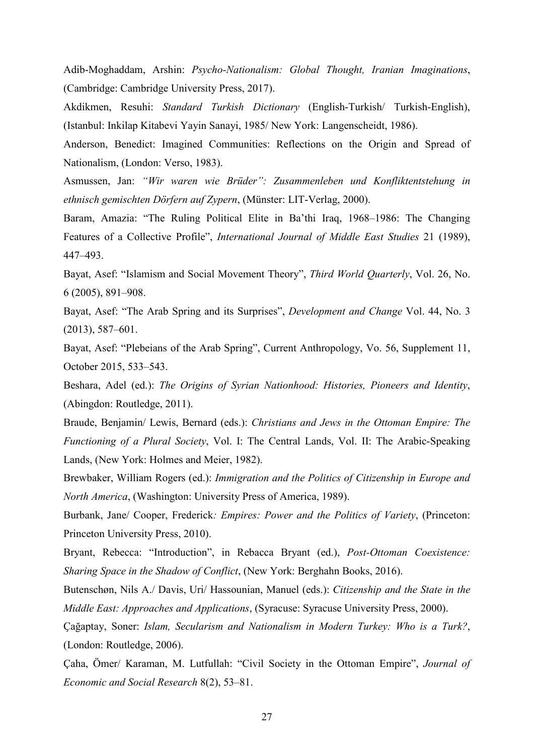Adib-Moghaddam, Arshin: *Psycho-Nationalism: Global Thought, Iranian Imaginations*, (Cambridge: Cambridge University Press, 2017).

Akdikmen, Resuhi: *Standard Turkish Dictionary* (English-Turkish/ Turkish-English), (Istanbul: Inkilap Kitabevi Yayin Sanayi, 1985/ New York: Langenscheidt, 1986).

Anderson, Benedict: Imagined Communities: Reflections on the Origin and Spread of Nationalism, (London: Verso, 1983).

Asmussen, Jan: *"Wir waren wie Brüder": Zusammenleben und Konfliktentstehung in ethnisch gemischten Dörfern auf Zypern*, (Münster: LIT-Verlag, 2000).

Baram, Amazia: "The Ruling Political Elite in Ba'thi Iraq, 1968–1986: The Changing Features of a Collective Profile", *International Journal of Middle East Studies* 21 (1989), 447–493.

Bayat, Asef: "Islamism and Social Movement Theory", *Third World Quarterly*, Vol. 26, No. 6 (2005), 891–908.

Bayat, Asef: "The Arab Spring and its Surprises", *Development and Change* Vol. 44, No. 3 (2013), 587–601.

Bayat, Asef: "Plebeians of the Arab Spring", Current Anthropology, Vo. 56, Supplement 11, October 2015, 533–543.

Beshara, Adel (ed.): *The Origins of Syrian Nationhood: Histories, Pioneers and Identity*, (Abingdon: Routledge, 2011).

Braude, Benjamin/ Lewis, Bernard (eds.): *Christians and Jews in the Ottoman Empire: The Functioning of a Plural Society*, Vol. I: The Central Lands, Vol. II: The Arabic-Speaking Lands, (New York: Holmes and Meier, 1982).

Brewbaker, William Rogers (ed.): *Immigration and the Politics of Citizenship in Europe and North America*, (Washington: University Press of America, 1989).

Burbank, Jane/ Cooper, Frederick*: Empires: Power and the Politics of Variety*, (Princeton: Princeton University Press, 2010).

Bryant, Rebecca: "Introduction", in Rebacca Bryant (ed.), *Post-Ottoman Coexistence: Sharing Space in the Shadow of Conflict*, (New York: Berghahn Books, 2016).

Butenschøn, Nils A./ Davis, Uri/ Hassounian, Manuel (eds.): *Citizenship and the State in the Middle East: Approaches and Applications*, (Syracuse: Syracuse University Press, 2000).

Ҫağaptay, Soner: *Islam, Secularism and Nationalism in Modern Turkey: Who is a Turk?*, (London: Routledge, 2006).

Çaha, Ömer/ Karaman, M. Lutfullah: "Civil Society in the Ottoman Empire", *Journal of Economic and Social Research* 8(2), 53–81.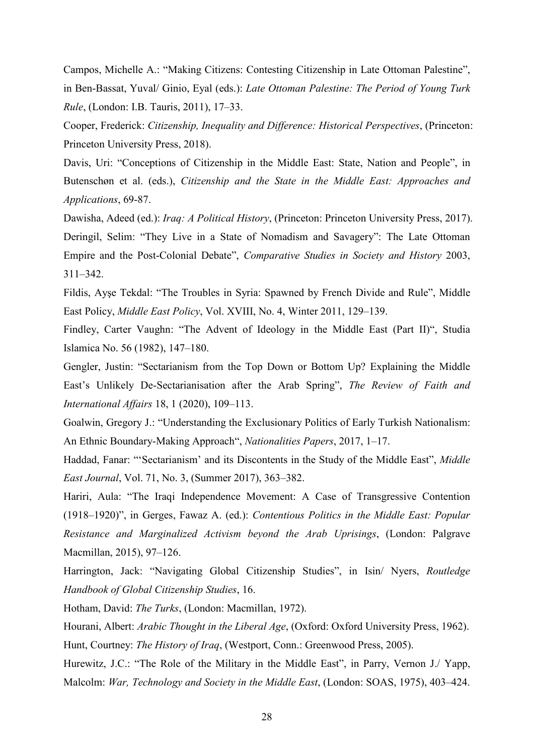Campos, Michelle A.: "Making Citizens: Contesting Citizenship in Late Ottoman Palestine", in Ben-Bassat, Yuval/ Ginio, Eyal (eds.): *Late Ottoman Palestine: The Period of Young Turk Rule*, (London: I.B. Tauris, 2011), 17–33.

Cooper, Frederick: *Citizenship, Inequality and Difference: Historical Perspectives*, (Princeton: Princeton University Press, 2018).

Davis, Uri: "Conceptions of Citizenship in the Middle East: State, Nation and People", in Butenschøn et al. (eds.), *Citizenship and the State in the Middle East: Approaches and Applications*, 69-87.

Dawisha, Adeed (ed.): *Iraq: A Political History*, (Princeton: Princeton University Press, 2017). Deringil, Selim: "They Live in a State of Nomadism and Savagery": The Late Ottoman Empire and the Post-Colonial Debate", *Comparative Studies in Society and History* 2003, 311–342.

Fildis, Ayşe Tekdal: "The Troubles in Syria: Spawned by French Divide and Rule", Middle East Policy, *Middle East Policy*, Vol. XVIII, No. 4, Winter 2011, 129–139.

Findley, Carter Vaughn: "The Advent of Ideology in the Middle East (Part II)", Studia Islamica No. 56 (1982), 147–180.

Gengler, Justin: "Sectarianism from the Top Down or Bottom Up? Explaining the Middle East's Unlikely De-Sectarianisation after the Arab Spring", *The Review of Faith and International Affairs* 18, 1 (2020), 109–113.

Goalwin, Gregory J.: "Understanding the Exclusionary Politics of Early Turkish Nationalism: An Ethnic Boundary-Making Approach", *Nationalities Papers*, 2017, 1–17.

Haddad, Fanar: "'Sectarianism' and its Discontents in the Study of the Middle East", *Middle East Journal*, Vol. 71, No. 3, (Summer 2017), 363–382.

Hariri, Aula: "The Iraqi Independence Movement: A Case of Transgressive Contention (1918–1920)", in Gerges, Fawaz A. (ed.): *Contentious Politics in the Middle East: Popular Resistance and Marginalized Activism beyond the Arab Uprisings*, (London: Palgrave Macmillan, 2015), 97–126.

Harrington, Jack: "Navigating Global Citizenship Studies", in Isin/ Nyers, *Routledge Handbook of Global Citizenship Studies*, 16.

Hotham, David: *The Turks*, (London: Macmillan, 1972).

Hourani, Albert: *Arabic Thought in the Liberal Age*, (Oxford: Oxford University Press, 1962). Hunt, Courtney: *The History of Iraq*, (Westport, Conn.: Greenwood Press, 2005).

Hurewitz, J.C.: "The Role of the Military in the Middle East", in Parry, Vernon J./ Yapp, Malcolm: *War, Technology and Society in the Middle East*, (London: SOAS, 1975), 403–424.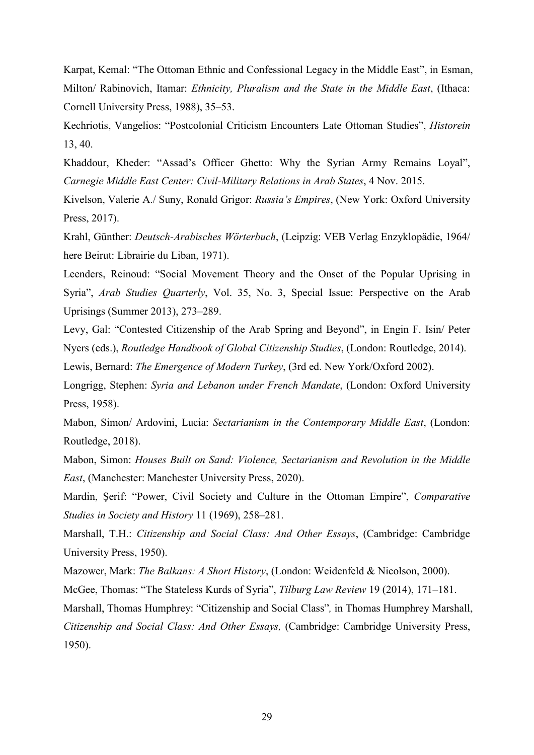Karpat, Kemal: "The Ottoman Ethnic and Confessional Legacy in the Middle East", in Esman, Milton/ Rabinovich, Itamar: *Ethnicity, Pluralism and the State in the Middle East*, (Ithaca: Cornell University Press, 1988), 35–53.

Kechriotis, Vangelios: "Postcolonial Criticism Encounters Late Ottoman Studies", *Historein* 13, 40.

Khaddour, Kheder: "Assad's Officer Ghetto: Why the Syrian Army Remains Loyal", *Carnegie Middle East Center: Civil-Military Relations in Arab States*, 4 Nov. 2015.

Kivelson, Valerie A./ Suny, Ronald Grigor: *Russia's Empires*, (New York: Oxford University Press, 2017).

Krahl, Günther: *Deutsch-Arabisches Wörterbuch*, (Leipzig: VEB Verlag Enzyklopädie, 1964/ here Beirut: Librairie du Liban, 1971).

Leenders, Reinoud: "Social Movement Theory and the Onset of the Popular Uprising in Syria", *Arab Studies Quarterly*, Vol. 35, No. 3, Special Issue: Perspective on the Arab Uprisings (Summer 2013), 273–289.

Levy, Gal: "Contested Citizenship of the Arab Spring and Beyond", in Engin F. Isin/ Peter Nyers (eds.), *Routledge Handbook of Global Citizenship Studies*, (London: Routledge, 2014).

Lewis, Bernard: *The Emergence of Modern Turkey*, (3rd ed. New York/Oxford 2002).

Longrigg, Stephen: *Syria and Lebanon under French Mandate*, (London: Oxford University Press, 1958).

Mabon, Simon/ Ardovini, Lucia: *Sectarianism in the Contemporary Middle East*, (London: Routledge, 2018).

Mabon, Simon: *Houses Built on Sand: Violence, Sectarianism and Revolution in the Middle East*, (Manchester: Manchester University Press, 2020).

Mardin, Şerif: "Power, Civil Society and Culture in the Ottoman Empire", *Comparative Studies in Society and History* 11 (1969), 258–281.

Marshall, T.H.: *Citizenship and Social Class: And Other Essays*, (Cambridge: Cambridge University Press, 1950).

Mazower, Mark: *The Balkans: A Short History*, (London: Weidenfeld & Nicolson, 2000). McGee, Thomas: "The Stateless Kurds of Syria", *Tilburg Law Review* 19 (2014), 171–181.

Marshall, Thomas Humphrey: "Citizenship and Social Class"*,* in Thomas Humphrey Marshall, *Citizenship and Social Class: And Other Essays,* (Cambridge: Cambridge University Press, 1950).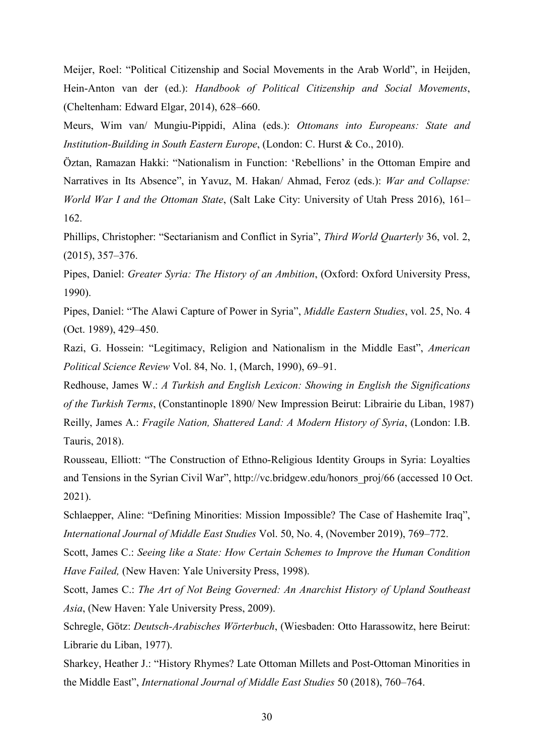Meijer, Roel: "Political Citizenship and Social Movements in the Arab World", in Heijden, Hein-Anton van der (ed.): *Handbook of Political Citizenship and Social Movements*, (Cheltenham: Edward Elgar, 2014), 628–660.

Meurs, Wim van/ Mungiu-Pippidi, Alina (eds.): *Ottomans into Europeans: State and Institution-Building in South Eastern Europe*, (London: C. Hurst & Co., 2010).

Öztan, Ramazan Hakki: "Nationalism in Function: 'Rebellions' in the Ottoman Empire and Narratives in Its Absence", in Yavuz, M. Hakan/ Ahmad, Feroz (eds.): *War and Collapse: World War I and the Ottoman State*, (Salt Lake City: University of Utah Press 2016), 161– 162.

Phillips, Christopher: "Sectarianism and Conflict in Syria", *Third World Quarterly* 36, vol. 2, (2015), 357–376.

Pipes, Daniel: *Greater Syria: The History of an Ambition*, (Oxford: Oxford University Press, 1990).

Pipes, Daniel: "The Alawi Capture of Power in Syria", *Middle Eastern Studies*, vol. 25, No. 4 (Oct. 1989), 429–450.

Razi, G. Hossein: "Legitimacy, Religion and Nationalism in the Middle East", *American Political Science Review* Vol. 84, No. 1, (March, 1990), 69–91.

Redhouse, James W.: *A Turkish and English Lexicon: Showing in English the Significations of the Turkish Terms*, (Constantinople 1890/ New Impression Beirut: Librairie du Liban, 1987) Reilly, James A.: *Fragile Nation, Shattered Land: A Modern History of Syria*, (London: I.B. Tauris, 2018).

Rousseau, Elliott: "The Construction of Ethno-Religious Identity Groups in Syria: Loyalties and Tensions in the Syrian Civil War", [http://vc.bridgew.edu/honors\\_proj/66](http://vc.bridgew.edu/honors_proj/66) (accessed 10 Oct. 2021).

Schlaepper, Aline: "Defining Minorities: Mission Impossible? The Case of Hashemite Iraq", *International Journal of Middle East Studies* Vol. 50, No. 4, (November 2019), 769–772.

Scott, James C.: *Seeing like a State: How Certain Schemes to Improve the Human Condition Have Failed,* (New Haven: Yale University Press, 1998).

Scott, James C.: *The Art of Not Being Governed: An Anarchist History of Upland Southeast Asia*, (New Haven: Yale University Press, 2009).

Schregle, Götz: *Deutsch-Arabisches Wörterbuch*, (Wiesbaden: Otto Harassowitz, here Beirut: Librarie du Liban, 1977).

Sharkey, Heather J.: "History Rhymes? Late Ottoman Millets and Post-Ottoman Minorities in the Middle East", *International Journal of Middle East Studies* 50 (2018), 760–764.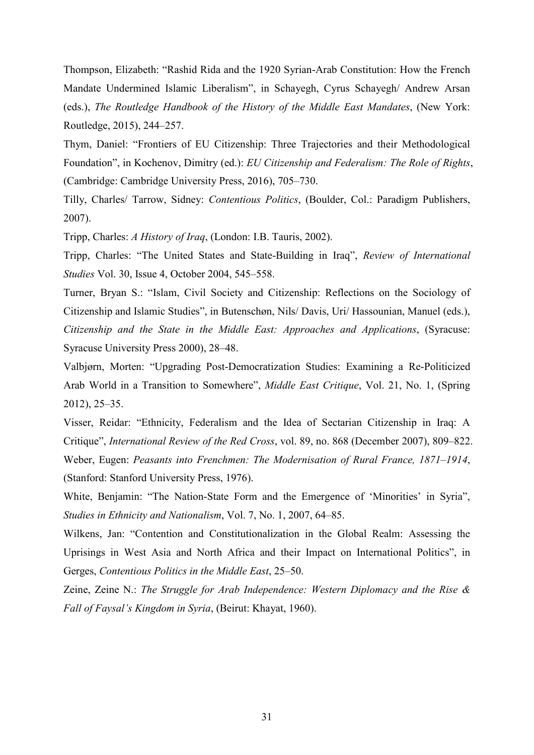Thompson, Elizabeth: "Rashid Rida and the 1920 Syrian-Arab Constitution: How the French Mandate Undermined Islamic Liberalism", in Schayegh, Cyrus Schayegh/ Andrew Arsan (eds.), *The Routledge Handbook of the History of the Middle East Mandates*, (New York: Routledge, 2015), 244–257.

Thym, Daniel: "Frontiers of EU Citizenship: Three Trajectories and their Methodological Foundation", in Kochenov, Dimitry (ed.): *EU Citizenship and Federalism: The Role of Rights*, (Cambridge: Cambridge University Press, 2016), 705–730.

Tilly, Charles/ Tarrow, Sidney: *Contentious Politics*, (Boulder, Col.: Paradigm Publishers, 2007).

Tripp, Charles: *A History of Iraq*, (London: I.B. Tauris, 2002).

Tripp, Charles: "The United States and State-Building in Iraq", *Review of International Studies* Vol. 30, Issue 4, October 2004, 545–558.

Turner, Bryan S.: "Islam, Civil Society and Citizenship: Reflections on the Sociology of Citizenship and Islamic Studies", in Butenschøn, Nils/ Davis, Uri/ Hassounian, Manuel (eds.), *Citizenship and the State in the Middle East: Approaches and Applications*, (Syracuse: Syracuse University Press 2000), 28–48.

Valbjørn, Morten: "Upgrading Post-Democratization Studies: Examining a Re-Politicized Arab World in a Transition to Somewhere", *Middle East Critique*, Vol. 21, No. 1, (Spring 2012), 25–35.

Visser, Reidar: "Ethnicity, Federalism and the Idea of Sectarian Citizenship in Iraq: A Critique", *International Review of the Red Cross*, vol. 89, no. 868 (December 2007), 809–822. Weber, Eugen: *Peasants into Frenchmen: The Modernisation of Rural France, 1871–1914*, (Stanford: Stanford University Press, 1976).

White, Benjamin: "The Nation-State Form and the Emergence of 'Minorities' in Syria", *Studies in Ethnicity and Nationalism*, Vol. 7, No. 1, 2007, 64–85.

Wilkens, Jan: "Contention and Constitutionalization in the Global Realm: Assessing the Uprisings in West Asia and North Africa and their Impact on International Politics", in Gerges, *Contentious Politics in the Middle East*, 25–50.

Zeine, Zeine N.: *The Struggle for Arab Independence: Western Diplomacy and the Rise & Fall of Faysal's Kingdom in Syria*, (Beirut: Khayat, 1960).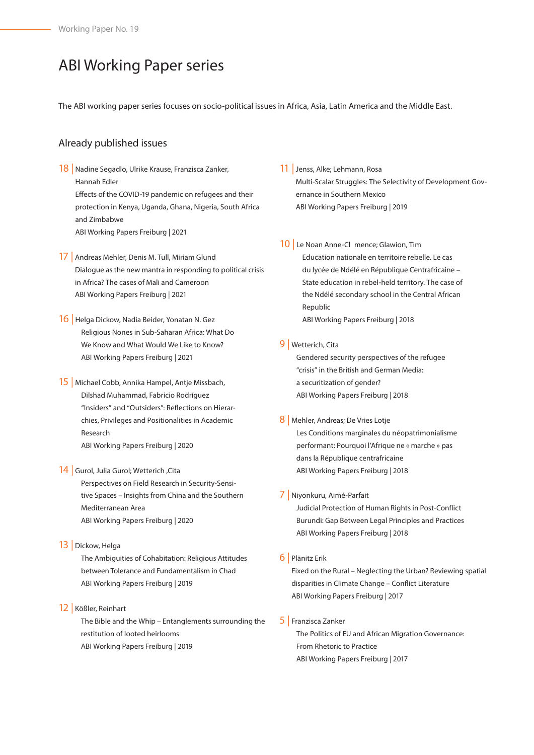# ABI Working Paper series

The ABI working paper series focuses on socio-political issues in Africa, Asia, Latin America and the Middle East.

#### Already published issues

- 18 | Nadine Segadlo, Ulrike Krause, Franzisca Zanker, Hannah Edler Effects of the COVID-19 pandemic on refugees and their protection in Kenya, Uganda, Ghana, Nigeria, South Africa and Zimbabwe ABI Working Papers Freiburg | 2021
- 17 | Andreas Mehler, Denis M. Tull, Miriam Glund Dialogue as the new mantra in responding to political crisis in Africa? The cases of Mali and Cameroon ABI Working Papers Freiburg | 2021
- 16 | Helga Dickow, Nadia Beider, Yonatan N. Gez Religious Nones in Sub-Saharan Africa: What Do We Know and What Would We Like to Know? ABI Working Papers Freiburg | 2021
- 15 | Michael Cobb, Annika Hampel, Antje Missbach, Dilshad Muhammad, Fabricio Rodríguez "Insiders" and "Outsiders": Reflections on Hierarchies, Privileges and Positionalities in Academic Research ABI Working Papers Freiburg | 2020
- 14 | Gurol, Julia Gurol; Wetterich ,Cita Perspectives on Field Research in Security-Sensi-

tive Spaces – Insights from China and the Southern Mediterranean Area ABI Working Papers Freiburg | 2020

13 | Dickow, Helga

The Ambiguities of Cohabitation: Religious Attitudes between Tolerance and Fundamentalism in Chad ABI Working Papers Freiburg | 2019

12 | Kößler, Reinhart

The Bible and the Whip – Entanglements surrounding the restitution of looted heirlooms ABI Working Papers Freiburg | 2019

11 Jenss, Alke; Lehmann, Rosa Multi-Scalar Struggles: The Selectivity of Development Governance in Southern Mexico ABI Working Papers Freiburg | 2019

- 10 | Le Noan Anne-CI mence; Glawion, Tim Education nationale en territoire rebelle. Le cas du lycée de Ndélé en République Centrafricaine – State education in rebel-held territory. The case of the Ndélé secondary school in the Central African Republic ABI Working Papers Freiburg | 2018
- 9 | Wetterich, Cita

Gendered security perspectives of the refugee "crisis" in the British and German Media: a securitization of gender? ABI Working Papers Freiburg | 2018

8 | Mehler, Andreas; De Vries Lotje

Les Conditions marginales du néopatrimonialisme performant: Pourquoi l'Afrique ne « marche » pas dans la République centrafricaine ABI Working Papers Freiburg | 2018

7 | Niyonkuru, Aimé-Parfait

Judicial Protection of Human Rights in Post-Conflict Burundi: Gap Between Legal Principles and Practices ABI Working Papers Freiburg | 2018

6 | Plänitz Erik

Fixed on the Rural – Neglecting the Urban? Reviewing spatial disparities in Climate Change - Conflict Literature ABI Working Papers Freiburg | 2017

5 | Franzisca Zanker

The Politics of EU and African Migration Governance: From Rhetoric to Practice ABI Working Papers Freiburg | 2017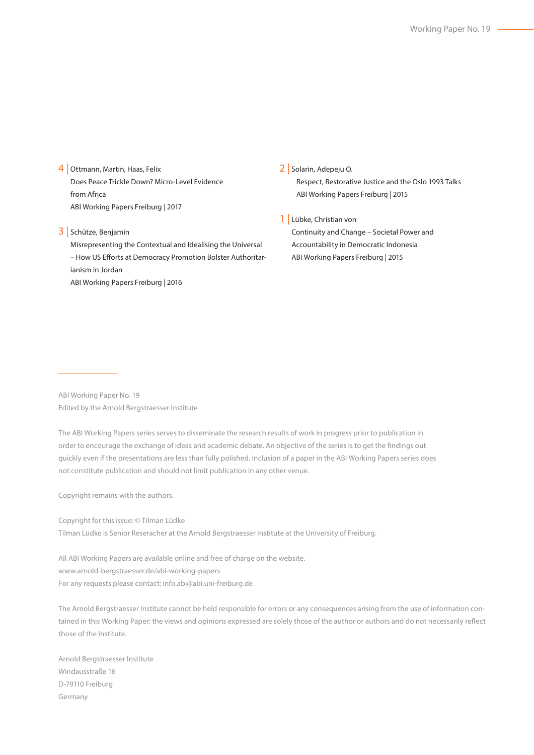4 Ottmann, Martin, Haas, Felix Does Peace Trickle Down? Micro-Level Evidence from Africa ABI Working Papers Freiburg | 2017

3 | Schütze, Benjamin

Misrepresenting the Contextual and Idealising the Universal – How US Efforts at Democracy Promotion Bolster Authoritarianism in Jordan ABI Working Papers Freiburg | 2016

- 2 | Solarin, Adepeju O. Respect, Restorative Justice and the Oslo 1993 Talks ABI Working Papers Freiburg | 2015
- 1 Lübke, Christian von Continuity and Change – Societal Power and Accountability in Democratic Indonesia ABI Working Papers Freiburg | 2015

ABI Working Paper No. 19 Edited by the Arnold Bergstraesser Institute

The ABI Working Papers series serves to disseminate the research results of work in progress prior to publication in order to encourage the exchange of ideas and academic debate. An objective of the series is to get the findings out quickly even if the presentations are less than fully polished. Inclusion of a paper in the ABI Working Papers series does not constitute publication and should not limit publication in any other venue.

Copyright remains with the authors.

Copyright for this issue: © Tilman Lüdke Tilman Lüdke is Senior Reseracher at the Arnold Bergstraesser Institute at the University of Freiburg.

All ABI Working Papers are available online and free of charge on the website. www.arnold-bergstraesser.de/abi-working-papers For any requests please contact: info.abi@abi.uni-freiburg.de

The Arnold Bergstraesser Institute cannot be held responsible for errors or any consequences arising from the use of information contained in this Working Paper; the views and opinions expressed are solely those of the author or authors and do not necessarily reflect those of the Institute.

Arnold Bergstraesser Institute Windausstraße 16 D-79110 Freiburg Germany